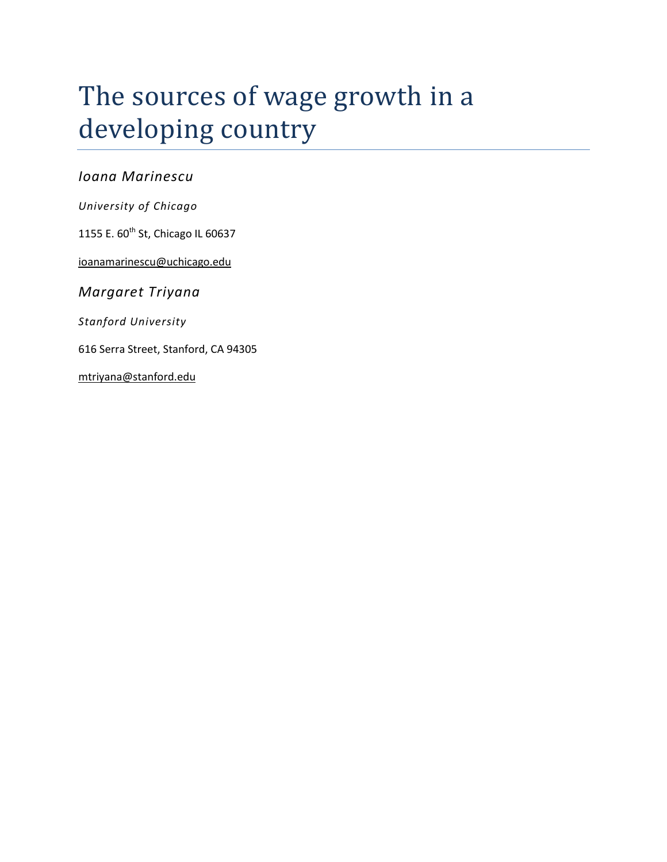# The sources of wage growth in a developing country

*Ioana Marinescu*

*University of Chicago*

1155 E.  $60^{th}$  St, Chicago IL 60637

[ioanamarinescu@uchicago.edu](mailto:ioanamarinescu@uchicago.edu)

*Margaret Triyana* 

*Stanford University*

616 Serra Street, Stanford, CA 94305

[mtriyana@stanford.edu](mailto:mtriyana@stanford.edu)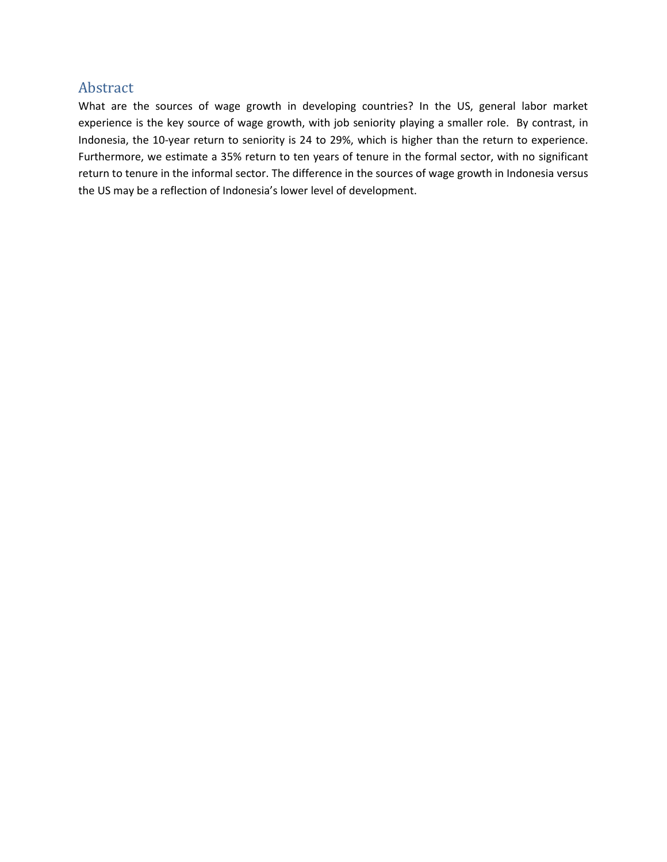## Abstract

What are the sources of wage growth in developing countries? In the US, general labor market experience is the key source of wage growth, with job seniority playing a smaller role. By contrast, in Indonesia, the 10-year return to seniority is 24 to 29%, which is higher than the return to experience. Furthermore, we estimate a 35% return to ten years of tenure in the formal sector, with no significant return to tenure in the informal sector. The difference in the sources of wage growth in Indonesia versus the US may be a reflection of Indonesia's lower level of development.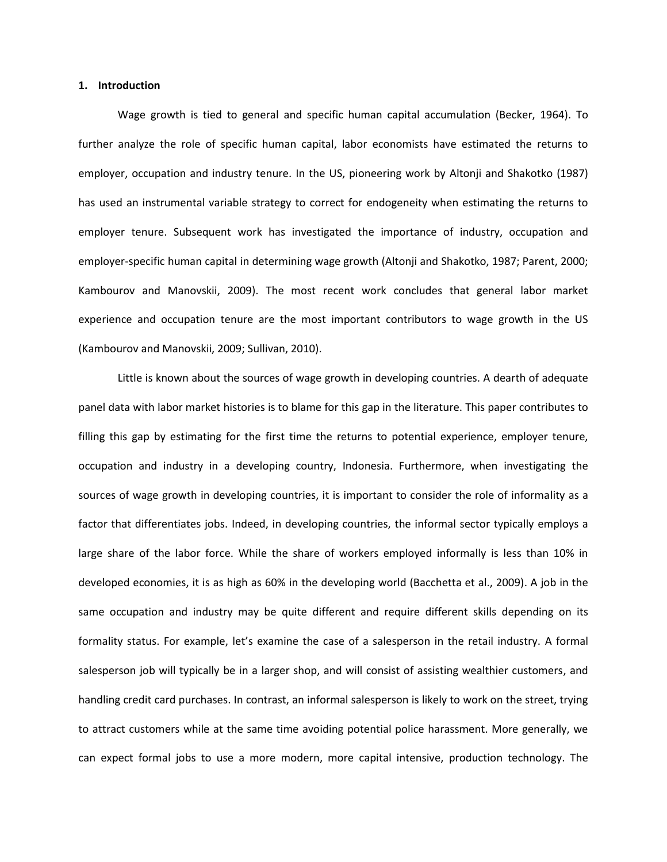#### **1. Introduction**

Wage growth is tied to general and specific human capital accumulation (Becker, 1964). To further analyze the role of specific human capital, labor economists have estimated the returns to employer, occupation and industry tenure. In the US, pioneering work by Altonji and Shakotko (1987) has used an instrumental variable strategy to correct for endogeneity when estimating the returns to employer tenure. Subsequent work has investigated the importance of industry, occupation and employer-specific human capital in determining wage growth (Altonji and Shakotko, 1987; Parent, 2000; Kambourov and Manovskii, 2009). The most recent work concludes that general labor market experience and occupation tenure are the most important contributors to wage growth in the US (Kambourov and Manovskii, 2009; Sullivan, 2010).

Little is known about the sources of wage growth in developing countries. A dearth of adequate panel data with labor market histories is to blame for this gap in the literature. This paper contributes to filling this gap by estimating for the first time the returns to potential experience, employer tenure, occupation and industry in a developing country, Indonesia. Furthermore, when investigating the sources of wage growth in developing countries, it is important to consider the role of informality as a factor that differentiates jobs. Indeed, in developing countries, the informal sector typically employs a large share of the labor force. While the share of workers employed informally is less than 10% in developed economies, it is as high as 60% in the developing world (Bacchetta et al., 2009). A job in the same occupation and industry may be quite different and require different skills depending on its formality status. For example, let's examine the case of a salesperson in the retail industry. A formal salesperson job will typically be in a larger shop, and will consist of assisting wealthier customers, and handling credit card purchases. In contrast, an informal salesperson is likely to work on the street, trying to attract customers while at the same time avoiding potential police harassment. More generally, we can expect formal jobs to use a more modern, more capital intensive, production technology. The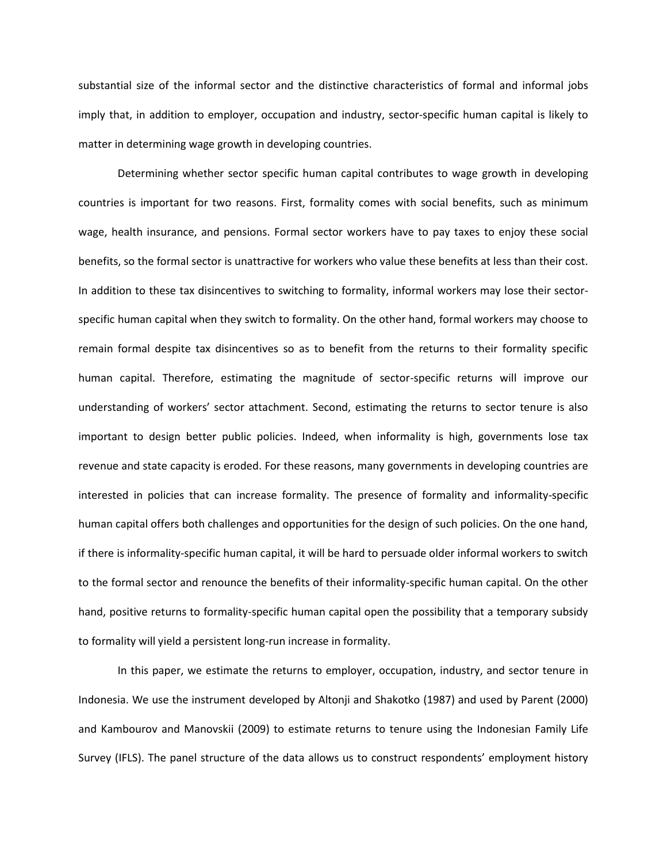substantial size of the informal sector and the distinctive characteristics of formal and informal jobs imply that, in addition to employer, occupation and industry, sector-specific human capital is likely to matter in determining wage growth in developing countries.

Determining whether sector specific human capital contributes to wage growth in developing countries is important for two reasons. First, formality comes with social benefits, such as minimum wage, health insurance, and pensions. Formal sector workers have to pay taxes to enjoy these social benefits, so the formal sector is unattractive for workers who value these benefits at less than their cost. In addition to these tax disincentives to switching to formality, informal workers may lose their sectorspecific human capital when they switch to formality. On the other hand, formal workers may choose to remain formal despite tax disincentives so as to benefit from the returns to their formality specific human capital. Therefore, estimating the magnitude of sector-specific returns will improve our understanding of workers' sector attachment. Second, estimating the returns to sector tenure is also important to design better public policies. Indeed, when informality is high, governments lose tax revenue and state capacity is eroded. For these reasons, many governments in developing countries are interested in policies that can increase formality. The presence of formality and informality-specific human capital offers both challenges and opportunities for the design of such policies. On the one hand, if there is informality-specific human capital, it will be hard to persuade older informal workers to switch to the formal sector and renounce the benefits of their informality-specific human capital. On the other hand, positive returns to formality-specific human capital open the possibility that a temporary subsidy to formality will yield a persistent long-run increase in formality.

In this paper, we estimate the returns to employer, occupation, industry, and sector tenure in Indonesia. We use the instrument developed by Altonji and Shakotko (1987) and used by Parent (2000) and Kambourov and Manovskii (2009) to estimate returns to tenure using the Indonesian Family Life Survey (IFLS). The panel structure of the data allows us to construct respondents' employment history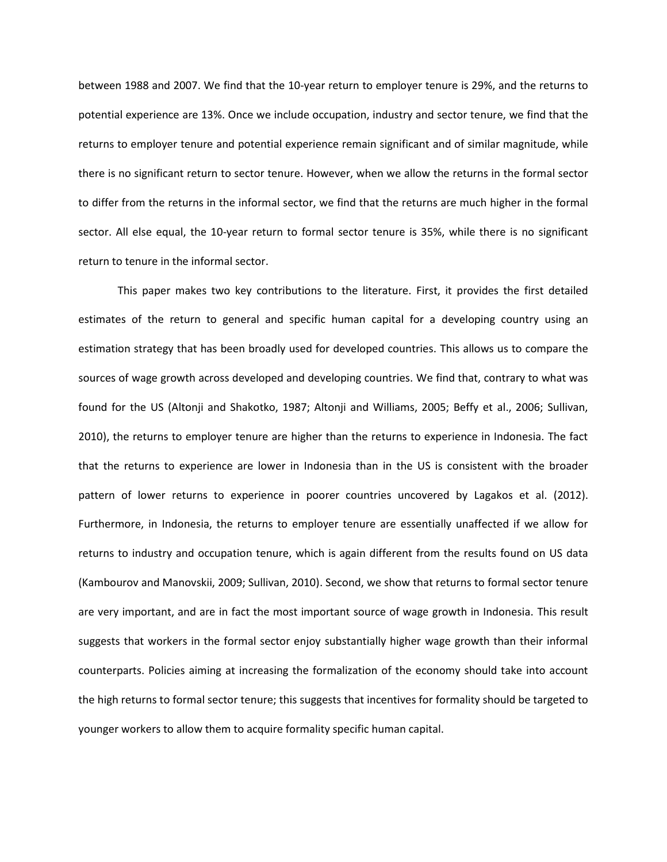between 1988 and 2007. We find that the 10-year return to employer tenure is 29%, and the returns to potential experience are 13%. Once we include occupation, industry and sector tenure, we find that the returns to employer tenure and potential experience remain significant and of similar magnitude, while there is no significant return to sector tenure. However, when we allow the returns in the formal sector to differ from the returns in the informal sector, we find that the returns are much higher in the formal sector. All else equal, the 10-year return to formal sector tenure is 35%, while there is no significant return to tenure in the informal sector.

This paper makes two key contributions to the literature. First, it provides the first detailed estimates of the return to general and specific human capital for a developing country using an estimation strategy that has been broadly used for developed countries. This allows us to compare the sources of wage growth across developed and developing countries. We find that, contrary to what was found for the US (Altonji and Shakotko, 1987; Altonji and Williams, 2005; Beffy et al., 2006; Sullivan, 2010), the returns to employer tenure are higher than the returns to experience in Indonesia. The fact that the returns to experience are lower in Indonesia than in the US is consistent with the broader pattern of lower returns to experience in poorer countries uncovered by Lagakos et al. (2012). Furthermore, in Indonesia, the returns to employer tenure are essentially unaffected if we allow for returns to industry and occupation tenure, which is again different from the results found on US data (Kambourov and Manovskii, 2009; Sullivan, 2010). Second, we show that returns to formal sector tenure are very important, and are in fact the most important source of wage growth in Indonesia. This result suggests that workers in the formal sector enjoy substantially higher wage growth than their informal counterparts. Policies aiming at increasing the formalization of the economy should take into account the high returns to formal sector tenure; this suggests that incentives for formality should be targeted to younger workers to allow them to acquire formality specific human capital.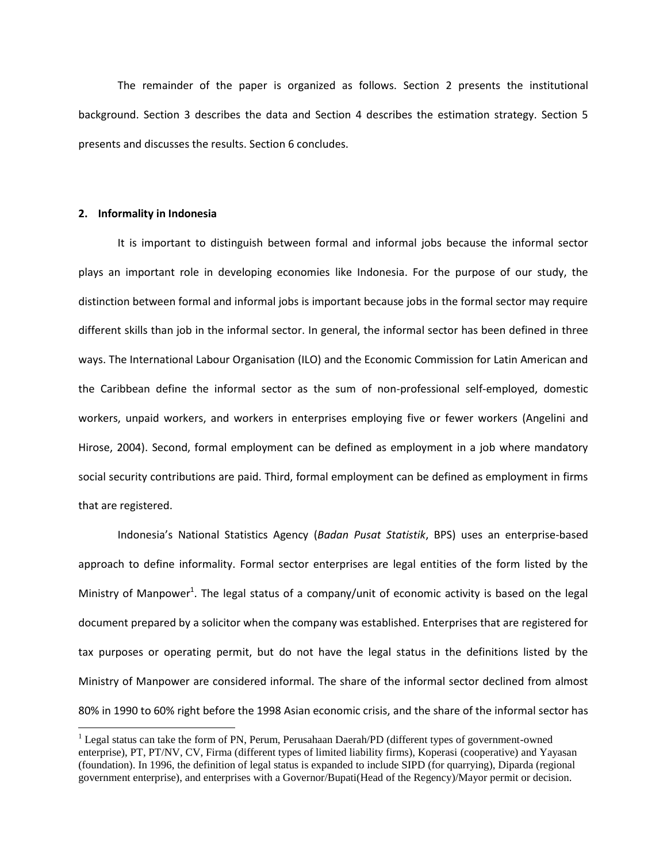The remainder of the paper is organized as follows. Section 2 presents the institutional background. Section 3 describes the data and Section 4 describes the estimation strategy. Section 5 presents and discusses the results. Section 6 concludes.

#### **2. Informality in Indonesia**

 $\overline{\phantom{a}}$ 

It is important to distinguish between formal and informal jobs because the informal sector plays an important role in developing economies like Indonesia. For the purpose of our study, the distinction between formal and informal jobs is important because jobs in the formal sector may require different skills than job in the informal sector. In general, the informal sector has been defined in three ways. The International Labour Organisation (ILO) and the Economic Commission for Latin American and the Caribbean define the informal sector as the sum of non-professional self-employed, domestic workers, unpaid workers, and workers in enterprises employing five or fewer workers (Angelini and Hirose, 2004). Second, formal employment can be defined as employment in a job where mandatory social security contributions are paid. Third, formal employment can be defined as employment in firms that are registered.

Indonesia's National Statistics Agency (*Badan Pusat Statistik*, BPS) uses an enterprise-based approach to define informality. Formal sector enterprises are legal entities of the form listed by the Ministry of Manpower<sup>1</sup>. The legal status of a company/unit of economic activity is based on the legal document prepared by a solicitor when the company was established. Enterprises that are registered for tax purposes or operating permit, but do not have the legal status in the definitions listed by the Ministry of Manpower are considered informal. The share of the informal sector declined from almost 80% in 1990 to 60% right before the 1998 Asian economic crisis, and the share of the informal sector has

 $<sup>1</sup>$  Legal status can take the form of PN, Perum, Perusahaan Daerah/PD (different types of government-owned</sup> enterprise), PT, PT/NV, CV, Firma (different types of limited liability firms), Koperasi (cooperative) and Yayasan (foundation). In 1996, the definition of legal status is expanded to include SIPD (for quarrying), Diparda (regional government enterprise), and enterprises with a Governor/Bupati(Head of the Regency)/Mayor permit or decision.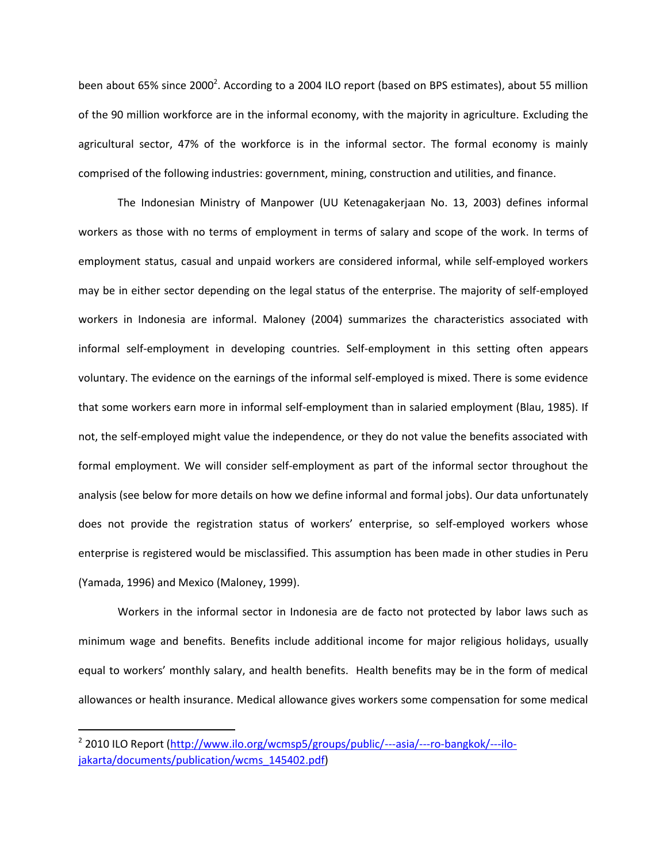been about 65% since 2000<sup>2</sup>. According to a 2004 ILO report (based on BPS estimates), about 55 million of the 90 million workforce are in the informal economy, with the majority in agriculture. Excluding the agricultural sector, 47% of the workforce is in the informal sector. The formal economy is mainly comprised of the following industries: government, mining, construction and utilities, and finance.

The Indonesian Ministry of Manpower (UU Ketenagakerjaan No. 13, 2003) defines informal workers as those with no terms of employment in terms of salary and scope of the work. In terms of employment status, casual and unpaid workers are considered informal, while self-employed workers may be in either sector depending on the legal status of the enterprise. The majority of self-employed workers in Indonesia are informal. Maloney (2004) summarizes the characteristics associated with informal self-employment in developing countries. Self-employment in this setting often appears voluntary. The evidence on the earnings of the informal self-employed is mixed. There is some evidence that some workers earn more in informal self-employment than in salaried employment (Blau, 1985). If not, the self-employed might value the independence, or they do not value the benefits associated with formal employment. We will consider self-employment as part of the informal sector throughout the analysis (see below for more details on how we define informal and formal jobs). Our data unfortunately does not provide the registration status of workers' enterprise, so self-employed workers whose enterprise is registered would be misclassified. This assumption has been made in other studies in Peru (Yamada, 1996) and Mexico (Maloney, 1999).

Workers in the informal sector in Indonesia are de facto not protected by labor laws such as minimum wage and benefits. Benefits include additional income for major religious holidays, usually equal to workers' monthly salary, and health benefits. Health benefits may be in the form of medical allowances or health insurance. Medical allowance gives workers some compensation for some medical

 $\overline{\phantom{a}}$ 

<sup>&</sup>lt;sup>2</sup> 2010 ILO Report [\(http://www.ilo.org/wcmsp5/groups/public/---asia/---ro-bangkok/---ilo](http://www.ilo.org/wcmsp5/groups/public/---asia/---ro-bangkok/---ilo-jakarta/documents/publication/wcms_145402.pdf)[jakarta/documents/publication/wcms\\_145402.pdf\)](http://www.ilo.org/wcmsp5/groups/public/---asia/---ro-bangkok/---ilo-jakarta/documents/publication/wcms_145402.pdf)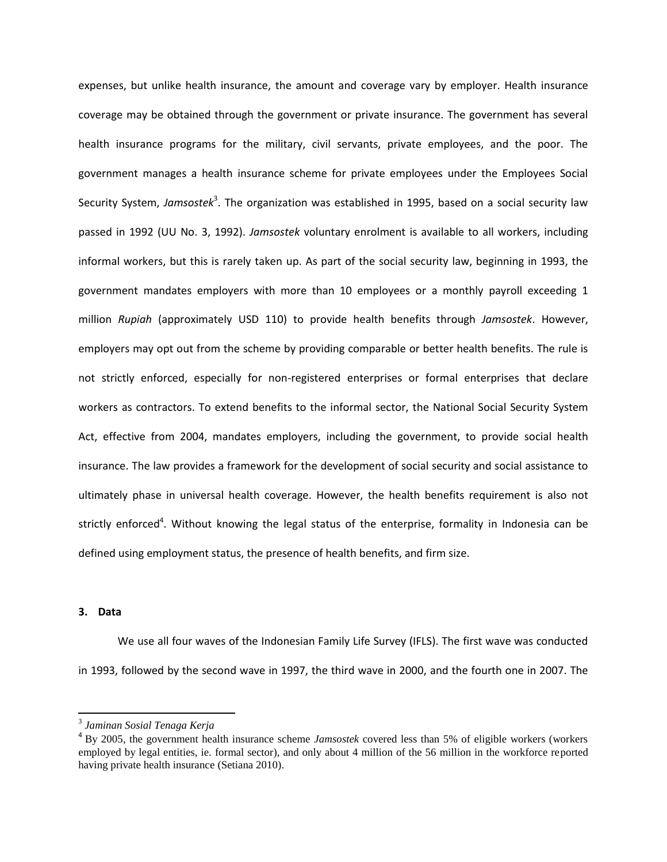expenses, but unlike health insurance, the amount and coverage vary by employer. Health insurance coverage may be obtained through the government or private insurance. The government has several health insurance programs for the military, civil servants, private employees, and the poor. The government manages a health insurance scheme for private employees under the Employees Social Security System, Jamsostek<sup>3</sup>. The organization was established in 1995, based on a social security law passed in 1992 (UU No. 3, 1992). *Jamsostek* voluntary enrolment is available to all workers, including informal workers, but this is rarely taken up. As part of the social security law, beginning in 1993, the government mandates employers with more than 10 employees or a monthly payroll exceeding 1 million *Rupiah* (approximately USD 110) to provide health benefits through *Jamsostek*. However, employers may opt out from the scheme by providing comparable or better health benefits. The rule is not strictly enforced, especially for non-registered enterprises or formal enterprises that declare workers as contractors. To extend benefits to the informal sector, the National Social Security System Act, effective from 2004, mandates employers, including the government, to provide social health insurance. The law provides a framework for the development of social security and social assistance to ultimately phase in universal health coverage. However, the health benefits requirement is also not strictly enforced<sup>4</sup>. Without knowing the legal status of the enterprise, formality in Indonesia can be defined using employment status, the presence of health benefits, and firm size.

#### **3. Data**

 $\overline{\phantom{a}}$ 

We use all four waves of the Indonesian Family Life Survey (IFLS). The first wave was conducted in 1993, followed by the second wave in 1997, the third wave in 2000, and the fourth one in 2007. The

<sup>3</sup> *Jaminan Sosial Tenaga Kerja*

<sup>4</sup> By 2005, the government health insurance scheme *Jamsostek* covered less than 5% of eligible workers (workers employed by legal entities, ie. formal sector), and only about 4 million of the 56 million in the workforce reported having private health insurance (Setiana 2010).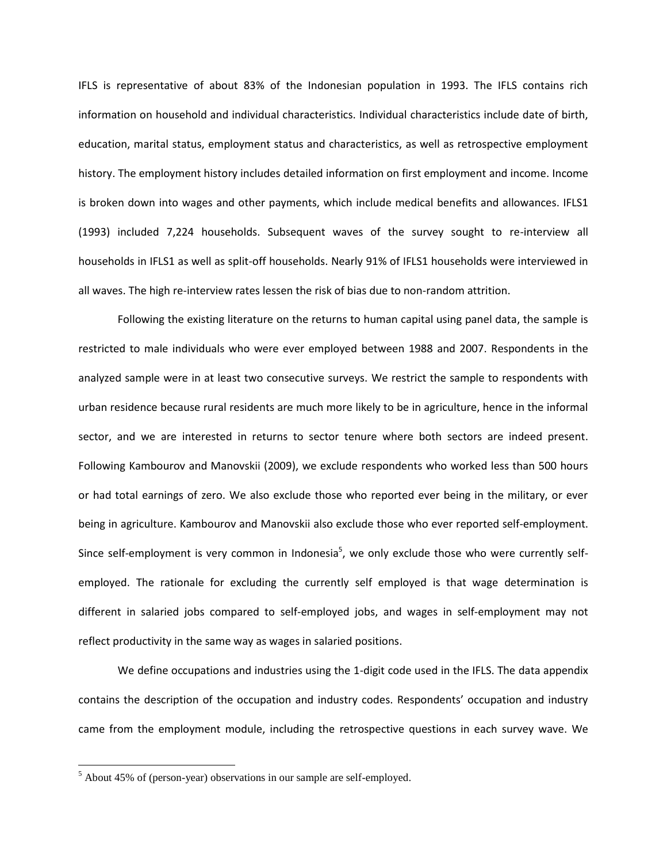IFLS is representative of about 83% of the Indonesian population in 1993. The IFLS contains rich information on household and individual characteristics. Individual characteristics include date of birth, education, marital status, employment status and characteristics, as well as retrospective employment history. The employment history includes detailed information on first employment and income. Income is broken down into wages and other payments, which include medical benefits and allowances. IFLS1 (1993) included 7,224 households. Subsequent waves of the survey sought to re-interview all households in IFLS1 as well as split-off households. Nearly 91% of IFLS1 households were interviewed in all waves. The high re-interview rates lessen the risk of bias due to non-random attrition.

Following the existing literature on the returns to human capital using panel data, the sample is restricted to male individuals who were ever employed between 1988 and 2007. Respondents in the analyzed sample were in at least two consecutive surveys. We restrict the sample to respondents with urban residence because rural residents are much more likely to be in agriculture, hence in the informal sector, and we are interested in returns to sector tenure where both sectors are indeed present. Following Kambourov and Manovskii (2009), we exclude respondents who worked less than 500 hours or had total earnings of zero. We also exclude those who reported ever being in the military, or ever being in agriculture. Kambourov and Manovskii also exclude those who ever reported self-employment. Since self-employment is very common in Indonesia<sup>5</sup>, we only exclude those who were currently selfemployed. The rationale for excluding the currently self employed is that wage determination is different in salaried jobs compared to self-employed jobs, and wages in self-employment may not reflect productivity in the same way as wages in salaried positions.

We define occupations and industries using the 1-digit code used in the IFLS. The data appendix contains the description of the occupation and industry codes. Respondents' occupation and industry came from the employment module, including the retrospective questions in each survey wave. We

 $\overline{\phantom{a}}$ 

 $<sup>5</sup>$  About 45% of (person-year) observations in our sample are self-employed.</sup>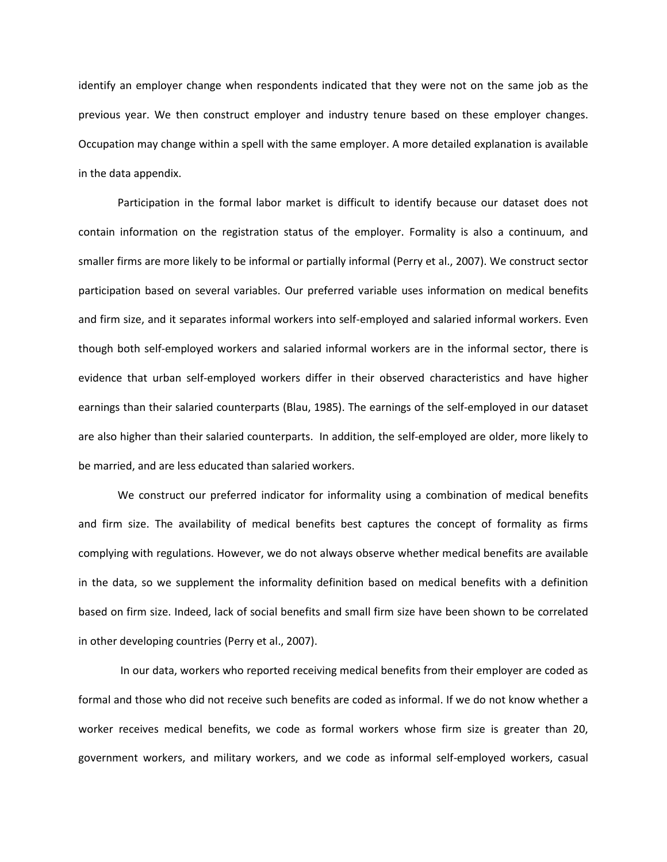identify an employer change when respondents indicated that they were not on the same job as the previous year. We then construct employer and industry tenure based on these employer changes. Occupation may change within a spell with the same employer. A more detailed explanation is available in the data appendix.

Participation in the formal labor market is difficult to identify because our dataset does not contain information on the registration status of the employer. Formality is also a continuum, and smaller firms are more likely to be informal or partially informal (Perry et al., 2007). We construct sector participation based on several variables. Our preferred variable uses information on medical benefits and firm size, and it separates informal workers into self-employed and salaried informal workers. Even though both self-employed workers and salaried informal workers are in the informal sector, there is evidence that urban self-employed workers differ in their observed characteristics and have higher earnings than their salaried counterparts (Blau, 1985). The earnings of the self-employed in our dataset are also higher than their salaried counterparts. In addition, the self-employed are older, more likely to be married, and are less educated than salaried workers.

We construct our preferred indicator for informality using a combination of medical benefits and firm size. The availability of medical benefits best captures the concept of formality as firms complying with regulations. However, we do not always observe whether medical benefits are available in the data, so we supplement the informality definition based on medical benefits with a definition based on firm size. Indeed, lack of social benefits and small firm size have been shown to be correlated in other developing countries (Perry et al., 2007).

In our data, workers who reported receiving medical benefits from their employer are coded as formal and those who did not receive such benefits are coded as informal. If we do not know whether a worker receives medical benefits, we code as formal workers whose firm size is greater than 20, government workers, and military workers, and we code as informal self-employed workers, casual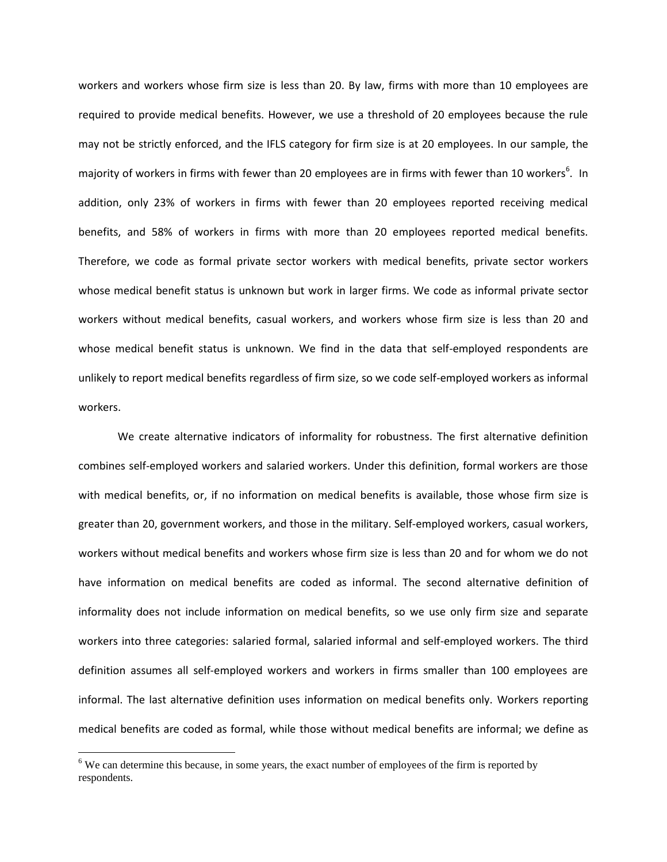workers and workers whose firm size is less than 20. By law, firms with more than 10 employees are required to provide medical benefits. However, we use a threshold of 20 employees because the rule may not be strictly enforced, and the IFLS category for firm size is at 20 employees. In our sample, the majority of workers in firms with fewer than 20 employees are in firms with fewer than 10 workers<sup>6</sup>. In addition, only 23% of workers in firms with fewer than 20 employees reported receiving medical benefits, and 58% of workers in firms with more than 20 employees reported medical benefits. Therefore, we code as formal private sector workers with medical benefits, private sector workers whose medical benefit status is unknown but work in larger firms. We code as informal private sector workers without medical benefits, casual workers, and workers whose firm size is less than 20 and whose medical benefit status is unknown. We find in the data that self-employed respondents are unlikely to report medical benefits regardless of firm size, so we code self-employed workers as informal workers.

We create alternative indicators of informality for robustness. The first alternative definition combines self-employed workers and salaried workers. Under this definition, formal workers are those with medical benefits, or, if no information on medical benefits is available, those whose firm size is greater than 20, government workers, and those in the military. Self-employed workers, casual workers, workers without medical benefits and workers whose firm size is less than 20 and for whom we do not have information on medical benefits are coded as informal. The second alternative definition of informality does not include information on medical benefits, so we use only firm size and separate workers into three categories: salaried formal, salaried informal and self-employed workers. The third definition assumes all self-employed workers and workers in firms smaller than 100 employees are informal. The last alternative definition uses information on medical benefits only. Workers reporting medical benefits are coded as formal, while those without medical benefits are informal; we define as

 $\overline{\phantom{a}}$ 

 $6$  We can determine this because, in some years, the exact number of employees of the firm is reported by respondents.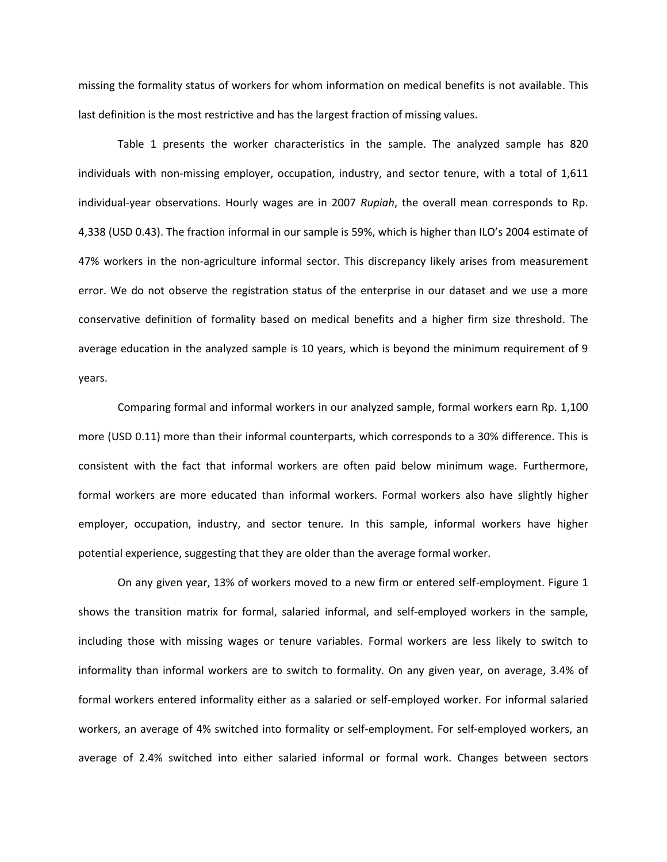missing the formality status of workers for whom information on medical benefits is not available. This last definition is the most restrictive and has the largest fraction of missing values.

Table 1 presents the worker characteristics in the sample. The analyzed sample has 820 individuals with non-missing employer, occupation, industry, and sector tenure, with a total of 1,611 individual-year observations. Hourly wages are in 2007 *Rupiah*, the overall mean corresponds to Rp. 4,338 (USD 0.43). The fraction informal in our sample is 59%, which is higher than ILO's 2004 estimate of 47% workers in the non-agriculture informal sector. This discrepancy likely arises from measurement error. We do not observe the registration status of the enterprise in our dataset and we use a more conservative definition of formality based on medical benefits and a higher firm size threshold. The average education in the analyzed sample is 10 years, which is beyond the minimum requirement of 9 years.

Comparing formal and informal workers in our analyzed sample, formal workers earn Rp. 1,100 more (USD 0.11) more than their informal counterparts, which corresponds to a 30% difference. This is consistent with the fact that informal workers are often paid below minimum wage. Furthermore, formal workers are more educated than informal workers. Formal workers also have slightly higher employer, occupation, industry, and sector tenure. In this sample, informal workers have higher potential experience, suggesting that they are older than the average formal worker.

On any given year, 13% of workers moved to a new firm or entered self-employment. Figure 1 shows the transition matrix for formal, salaried informal, and self-employed workers in the sample, including those with missing wages or tenure variables. Formal workers are less likely to switch to informality than informal workers are to switch to formality. On any given year, on average, 3.4% of formal workers entered informality either as a salaried or self-employed worker. For informal salaried workers, an average of 4% switched into formality or self-employment. For self-employed workers, an average of 2.4% switched into either salaried informal or formal work. Changes between sectors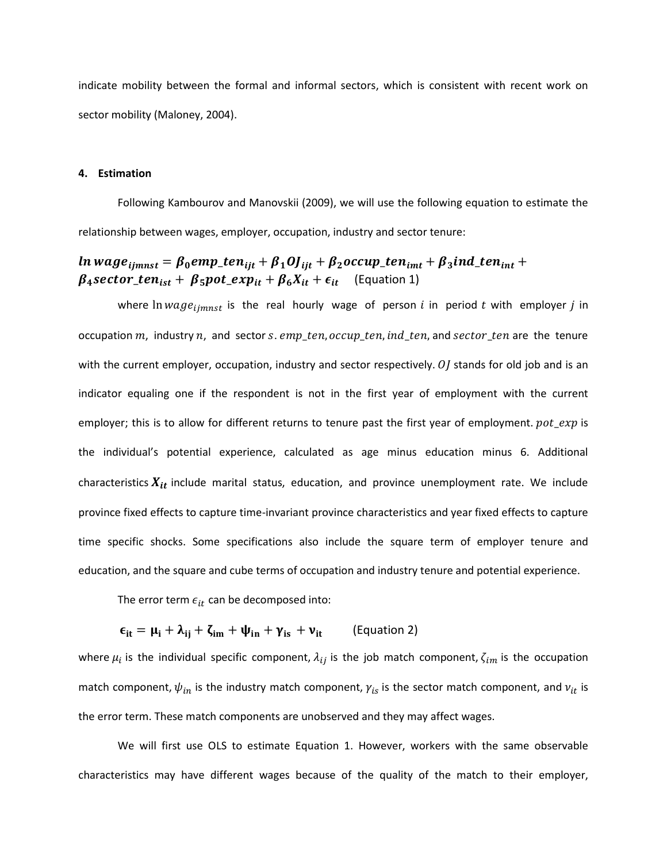indicate mobility between the formal and informal sectors, which is consistent with recent work on sector mobility (Maloney, 2004).

#### **4. Estimation**

Following Kambourov and Manovskii (2009), we will use the following equation to estimate the relationship between wages, employer, occupation, industry and sector tenure:

# $ln wage_{ijmnst} = \beta_0 emp_{i\tau}ten_{ijt} + \beta_1 OJ_{ijt} + \beta_2 occup_{i\tau}ten_{imt} + \beta_3 ind_{i\tau}ten_{int} +$  $\beta_4$ sector\_ten<sub>ist</sub> +  $\beta_5$ pot\_exp<sub>it</sub> +  $\beta_6 X_{it}$  +  $\epsilon_{it}$  (Equation 1)

where  $ln wage_{ijmnst}$  is the real hourly wage of person i in period t with employer j in occupation  $m$ , industry  $n$ , and sector  $s$ .  $emp\_ten$ , occup\_ten, ind\_ten, and sector\_ten are the tenure with the current employer, occupation, industry and sector respectively.  $O<sub>I</sub>$  stands for old job and is an indicator equaling one if the respondent is not in the first year of employment with the current employer; this is to allow for different returns to tenure past the first year of employment.  $pot\_exp$  is the individual's potential experience, calculated as age minus education minus 6. Additional characteristics  $X_{it}$  include marital status, education, and province unemployment rate. We include province fixed effects to capture time-invariant province characteristics and year fixed effects to capture time specific shocks. Some specifications also include the square term of employer tenure and education, and the square and cube terms of occupation and industry tenure and potential experience.

The error term  $\epsilon_{it}$  can be decomposed into:

 $\epsilon_{it} = \mu_i + \lambda_{ii} + \zeta_{im} + \psi_{in} + \gamma_{is} + \nu_{it}$  (Equation 2)

where  $\mu_i$  is the individual specific component,  $\lambda_{ij}$  is the job match component,  $\zeta_{im}$  is the occupation match component,  $\psi_{in}$  is the industry match component,  $\gamma_{is}$  is the sector match component, and  $v_{it}$  is the error term. These match components are unobserved and they may affect wages.

We will first use OLS to estimate Equation 1. However, workers with the same observable characteristics may have different wages because of the quality of the match to their employer,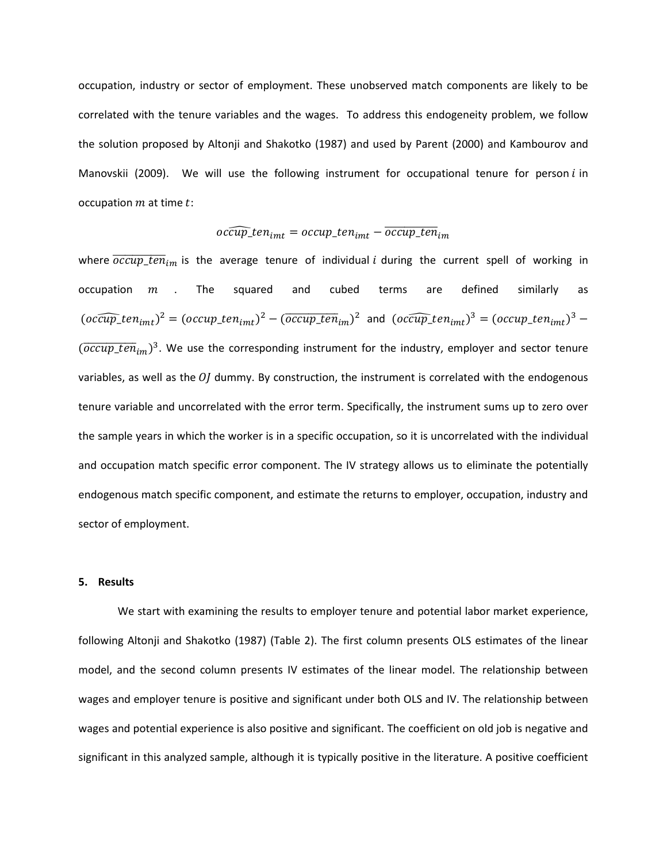occupation, industry or sector of employment. These unobserved match components are likely to be correlated with the tenure variables and the wages. To address this endogeneity problem, we follow the solution proposed by Altonji and Shakotko (1987) and used by Parent (2000) and Kambourov and Manovskii (2009). We will use the following instrument for occupational tenure for person  $i$  in occupation  $m$  at time  $t$ :

$$
\widetilde{\text{occup\_ten}_{imt}} = \text{occup\_ten}_{imt} - \overline{\text{occup\_ten}_{imt}}
$$

where  $\overline{occup\_ten}_{im}$  is the average tenure of individual *i* during the current spell of working in occupation  $m$  . The squared and cubed terms are defined similarly as  $(oc\widehat{cup\_ten_{imt}})^2 = (occup\_ten_{imt})^2 - (\overline{occup\_ten_{im}})^2$  and  $(oc\widehat{cup\_ten_{imt}})^3 = (occup\_ten_{imt})^3$  $(\overline{occup\_ten}_{im})^3$ . We use the corresponding instrument for the industry, employer and sector tenure variables, as well as the  $OJ$  dummy. By construction, the instrument is correlated with the endogenous tenure variable and uncorrelated with the error term. Specifically, the instrument sums up to zero over the sample years in which the worker is in a specific occupation, so it is uncorrelated with the individual and occupation match specific error component. The IV strategy allows us to eliminate the potentially endogenous match specific component, and estimate the returns to employer, occupation, industry and sector of employment.

#### **5. Results**

We start with examining the results to employer tenure and potential labor market experience, following Altonji and Shakotko (1987) (Table 2). The first column presents OLS estimates of the linear model, and the second column presents IV estimates of the linear model. The relationship between wages and employer tenure is positive and significant under both OLS and IV. The relationship between wages and potential experience is also positive and significant. The coefficient on old job is negative and significant in this analyzed sample, although it is typically positive in the literature. A positive coefficient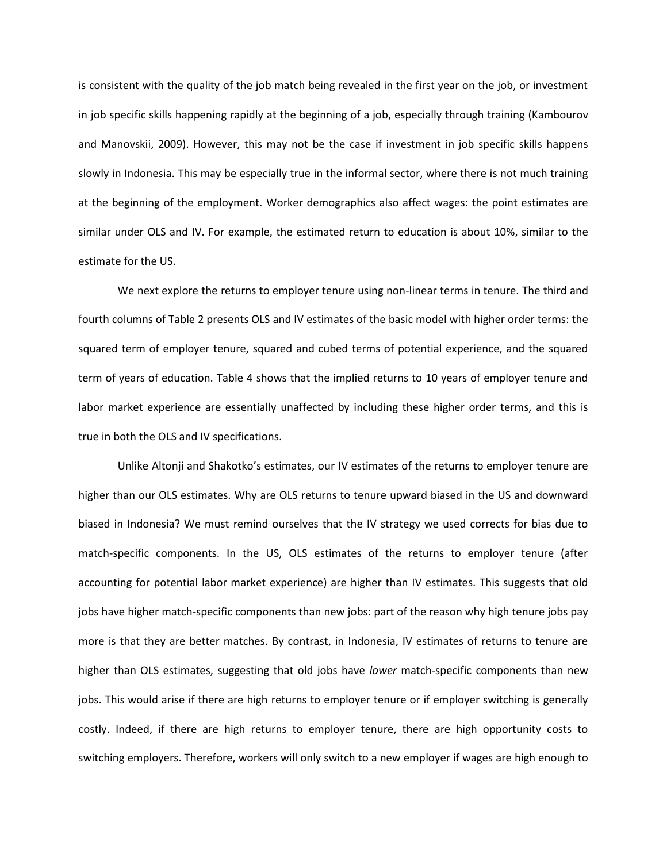is consistent with the quality of the job match being revealed in the first year on the job, or investment in job specific skills happening rapidly at the beginning of a job, especially through training (Kambourov and Manovskii, 2009). However, this may not be the case if investment in job specific skills happens slowly in Indonesia. This may be especially true in the informal sector, where there is not much training at the beginning of the employment. Worker demographics also affect wages: the point estimates are similar under OLS and IV. For example, the estimated return to education is about 10%, similar to the estimate for the US.

We next explore the returns to employer tenure using non-linear terms in tenure. The third and fourth columns of Table 2 presents OLS and IV estimates of the basic model with higher order terms: the squared term of employer tenure, squared and cubed terms of potential experience, and the squared term of years of education. Table 4 shows that the implied returns to 10 years of employer tenure and labor market experience are essentially unaffected by including these higher order terms, and this is true in both the OLS and IV specifications.

Unlike Altonji and Shakotko's estimates, our IV estimates of the returns to employer tenure are higher than our OLS estimates. Why are OLS returns to tenure upward biased in the US and downward biased in Indonesia? We must remind ourselves that the IV strategy we used corrects for bias due to match-specific components. In the US, OLS estimates of the returns to employer tenure (after accounting for potential labor market experience) are higher than IV estimates. This suggests that old jobs have higher match-specific components than new jobs: part of the reason why high tenure jobs pay more is that they are better matches. By contrast, in Indonesia, IV estimates of returns to tenure are higher than OLS estimates, suggesting that old jobs have *lower* match-specific components than new jobs. This would arise if there are high returns to employer tenure or if employer switching is generally costly. Indeed, if there are high returns to employer tenure, there are high opportunity costs to switching employers. Therefore, workers will only switch to a new employer if wages are high enough to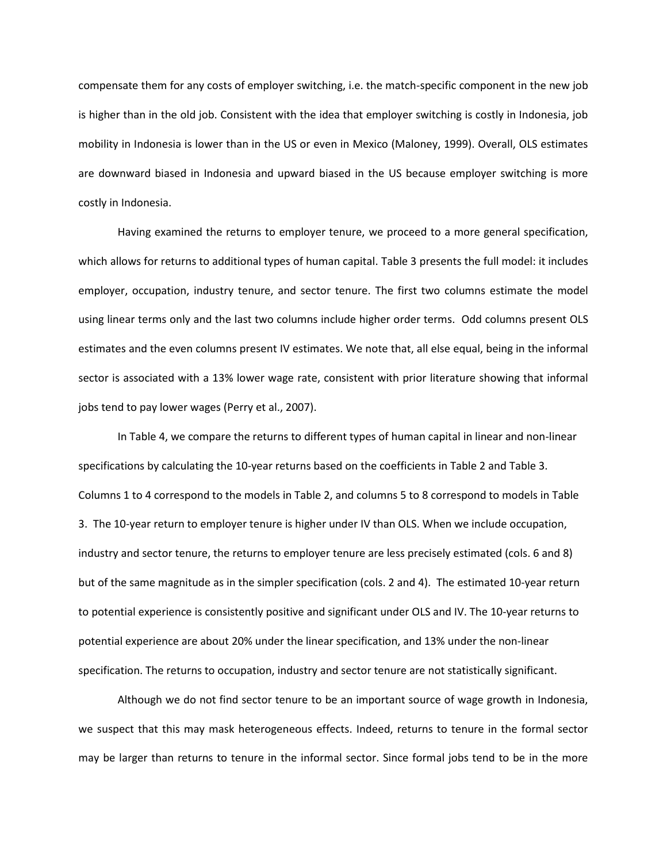compensate them for any costs of employer switching, i.e. the match-specific component in the new job is higher than in the old job. Consistent with the idea that employer switching is costly in Indonesia, job mobility in Indonesia is lower than in the US or even in Mexico (Maloney, 1999). Overall, OLS estimates are downward biased in Indonesia and upward biased in the US because employer switching is more costly in Indonesia.

Having examined the returns to employer tenure, we proceed to a more general specification, which allows for returns to additional types of human capital. Table 3 presents the full model: it includes employer, occupation, industry tenure, and sector tenure. The first two columns estimate the model using linear terms only and the last two columns include higher order terms. Odd columns present OLS estimates and the even columns present IV estimates. We note that, all else equal, being in the informal sector is associated with a 13% lower wage rate, consistent with prior literature showing that informal jobs tend to pay lower wages (Perry et al., 2007).

In Table 4, we compare the returns to different types of human capital in linear and non-linear specifications by calculating the 10-year returns based on the coefficients in Table 2 and Table 3. Columns 1 to 4 correspond to the models in Table 2, and columns 5 to 8 correspond to models in Table 3. The 10-year return to employer tenure is higher under IV than OLS. When we include occupation, industry and sector tenure, the returns to employer tenure are less precisely estimated (cols. 6 and 8) but of the same magnitude as in the simpler specification (cols. 2 and 4). The estimated 10-year return to potential experience is consistently positive and significant under OLS and IV. The 10-year returns to potential experience are about 20% under the linear specification, and 13% under the non-linear specification. The returns to occupation, industry and sector tenure are not statistically significant.

Although we do not find sector tenure to be an important source of wage growth in Indonesia, we suspect that this may mask heterogeneous effects. Indeed, returns to tenure in the formal sector may be larger than returns to tenure in the informal sector. Since formal jobs tend to be in the more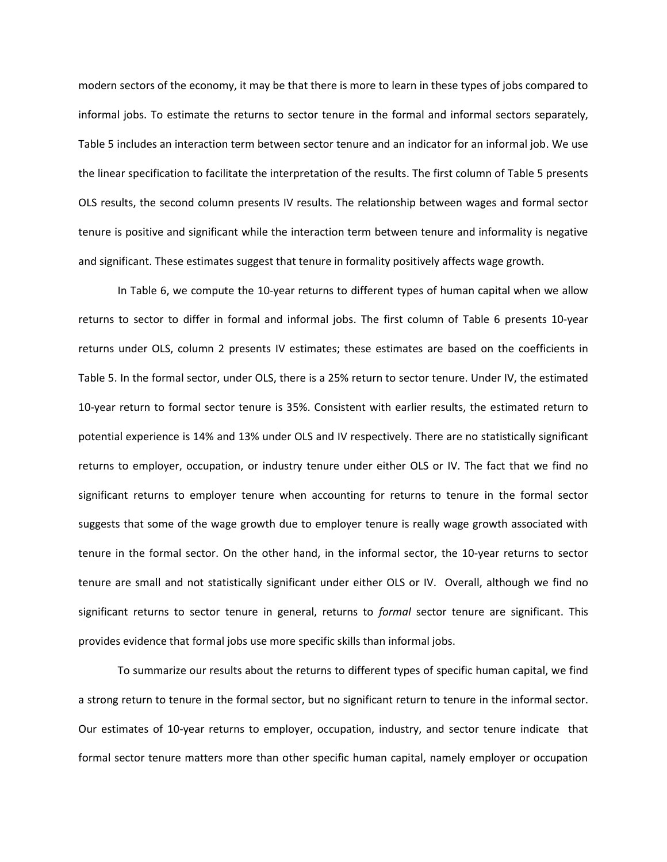modern sectors of the economy, it may be that there is more to learn in these types of jobs compared to informal jobs. To estimate the returns to sector tenure in the formal and informal sectors separately, Table 5 includes an interaction term between sector tenure and an indicator for an informal job. We use the linear specification to facilitate the interpretation of the results. The first column of Table 5 presents OLS results, the second column presents IV results. The relationship between wages and formal sector tenure is positive and significant while the interaction term between tenure and informality is negative and significant. These estimates suggest that tenure in formality positively affects wage growth.

In Table 6, we compute the 10-year returns to different types of human capital when we allow returns to sector to differ in formal and informal jobs. The first column of Table 6 presents 10-year returns under OLS, column 2 presents IV estimates; these estimates are based on the coefficients in Table 5. In the formal sector, under OLS, there is a 25% return to sector tenure. Under IV, the estimated 10-year return to formal sector tenure is 35%. Consistent with earlier results, the estimated return to potential experience is 14% and 13% under OLS and IV respectively. There are no statistically significant returns to employer, occupation, or industry tenure under either OLS or IV. The fact that we find no significant returns to employer tenure when accounting for returns to tenure in the formal sector suggests that some of the wage growth due to employer tenure is really wage growth associated with tenure in the formal sector. On the other hand, in the informal sector, the 10-year returns to sector tenure are small and not statistically significant under either OLS or IV. Overall, although we find no significant returns to sector tenure in general, returns to *formal* sector tenure are significant. This provides evidence that formal jobs use more specific skills than informal jobs.

To summarize our results about the returns to different types of specific human capital, we find a strong return to tenure in the formal sector, but no significant return to tenure in the informal sector. Our estimates of 10-year returns to employer, occupation, industry, and sector tenure indicate that formal sector tenure matters more than other specific human capital, namely employer or occupation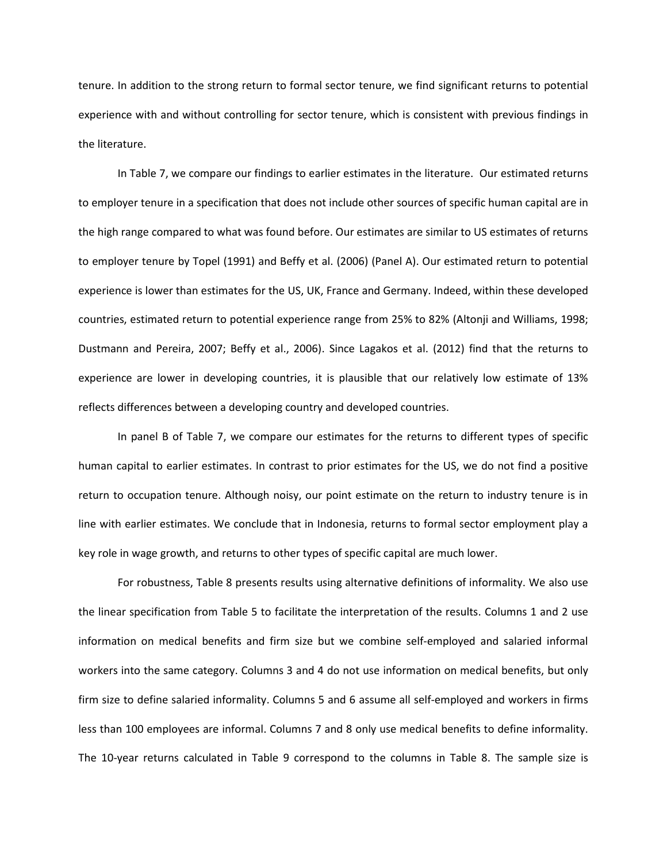tenure. In addition to the strong return to formal sector tenure, we find significant returns to potential experience with and without controlling for sector tenure, which is consistent with previous findings in the literature.

In Table 7, we compare our findings to earlier estimates in the literature. Our estimated returns to employer tenure in a specification that does not include other sources of specific human capital are in the high range compared to what was found before. Our estimates are similar to US estimates of returns to employer tenure by Topel (1991) and Beffy et al. (2006) (Panel A). Our estimated return to potential experience is lower than estimates for the US, UK, France and Germany. Indeed, within these developed countries, estimated return to potential experience range from 25% to 82% (Altonji and Williams, 1998; Dustmann and Pereira, 2007; Beffy et al., 2006). Since Lagakos et al. (2012) find that the returns to experience are lower in developing countries, it is plausible that our relatively low estimate of 13% reflects differences between a developing country and developed countries.

In panel B of Table 7, we compare our estimates for the returns to different types of specific human capital to earlier estimates. In contrast to prior estimates for the US, we do not find a positive return to occupation tenure. Although noisy, our point estimate on the return to industry tenure is in line with earlier estimates. We conclude that in Indonesia, returns to formal sector employment play a key role in wage growth, and returns to other types of specific capital are much lower.

For robustness, Table 8 presents results using alternative definitions of informality. We also use the linear specification from Table 5 to facilitate the interpretation of the results. Columns 1 and 2 use information on medical benefits and firm size but we combine self-employed and salaried informal workers into the same category. Columns 3 and 4 do not use information on medical benefits, but only firm size to define salaried informality. Columns 5 and 6 assume all self-employed and workers in firms less than 100 employees are informal. Columns 7 and 8 only use medical benefits to define informality. The 10-year returns calculated in Table 9 correspond to the columns in Table 8. The sample size is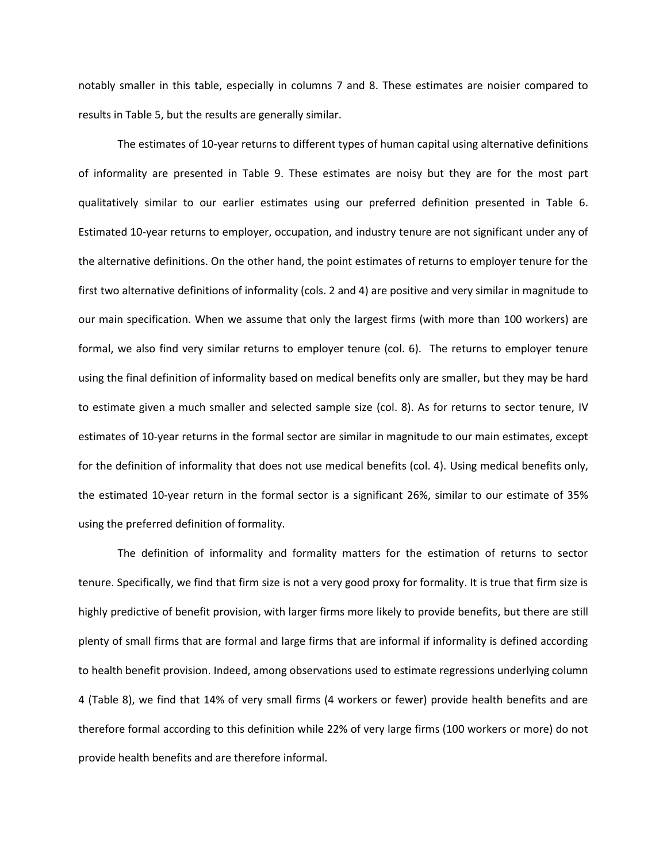notably smaller in this table, especially in columns 7 and 8. These estimates are noisier compared to results in Table 5, but the results are generally similar.

The estimates of 10-year returns to different types of human capital using alternative definitions of informality are presented in Table 9. These estimates are noisy but they are for the most part qualitatively similar to our earlier estimates using our preferred definition presented in Table 6. Estimated 10-year returns to employer, occupation, and industry tenure are not significant under any of the alternative definitions. On the other hand, the point estimates of returns to employer tenure for the first two alternative definitions of informality (cols. 2 and 4) are positive and very similar in magnitude to our main specification. When we assume that only the largest firms (with more than 100 workers) are formal, we also find very similar returns to employer tenure (col. 6). The returns to employer tenure using the final definition of informality based on medical benefits only are smaller, but they may be hard to estimate given a much smaller and selected sample size (col. 8). As for returns to sector tenure, IV estimates of 10-year returns in the formal sector are similar in magnitude to our main estimates, except for the definition of informality that does not use medical benefits (col. 4). Using medical benefits only, the estimated 10-year return in the formal sector is a significant 26%, similar to our estimate of 35% using the preferred definition of formality.

The definition of informality and formality matters for the estimation of returns to sector tenure. Specifically, we find that firm size is not a very good proxy for formality. It is true that firm size is highly predictive of benefit provision, with larger firms more likely to provide benefits, but there are still plenty of small firms that are formal and large firms that are informal if informality is defined according to health benefit provision. Indeed, among observations used to estimate regressions underlying column 4 (Table 8), we find that 14% of very small firms (4 workers or fewer) provide health benefits and are therefore formal according to this definition while 22% of very large firms (100 workers or more) do not provide health benefits and are therefore informal.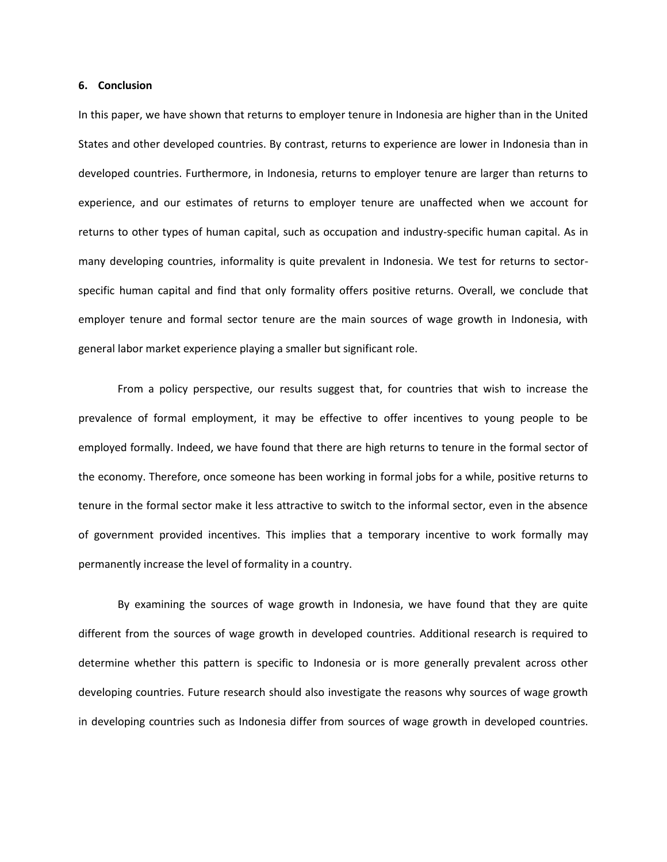#### **6. Conclusion**

In this paper, we have shown that returns to employer tenure in Indonesia are higher than in the United States and other developed countries. By contrast, returns to experience are lower in Indonesia than in developed countries. Furthermore, in Indonesia, returns to employer tenure are larger than returns to experience, and our estimates of returns to employer tenure are unaffected when we account for returns to other types of human capital, such as occupation and industry-specific human capital. As in many developing countries, informality is quite prevalent in Indonesia. We test for returns to sectorspecific human capital and find that only formality offers positive returns. Overall, we conclude that employer tenure and formal sector tenure are the main sources of wage growth in Indonesia, with general labor market experience playing a smaller but significant role.

From a policy perspective, our results suggest that, for countries that wish to increase the prevalence of formal employment, it may be effective to offer incentives to young people to be employed formally. Indeed, we have found that there are high returns to tenure in the formal sector of the economy. Therefore, once someone has been working in formal jobs for a while, positive returns to tenure in the formal sector make it less attractive to switch to the informal sector, even in the absence of government provided incentives. This implies that a temporary incentive to work formally may permanently increase the level of formality in a country.

By examining the sources of wage growth in Indonesia, we have found that they are quite different from the sources of wage growth in developed countries. Additional research is required to determine whether this pattern is specific to Indonesia or is more generally prevalent across other developing countries. Future research should also investigate the reasons why sources of wage growth in developing countries such as Indonesia differ from sources of wage growth in developed countries.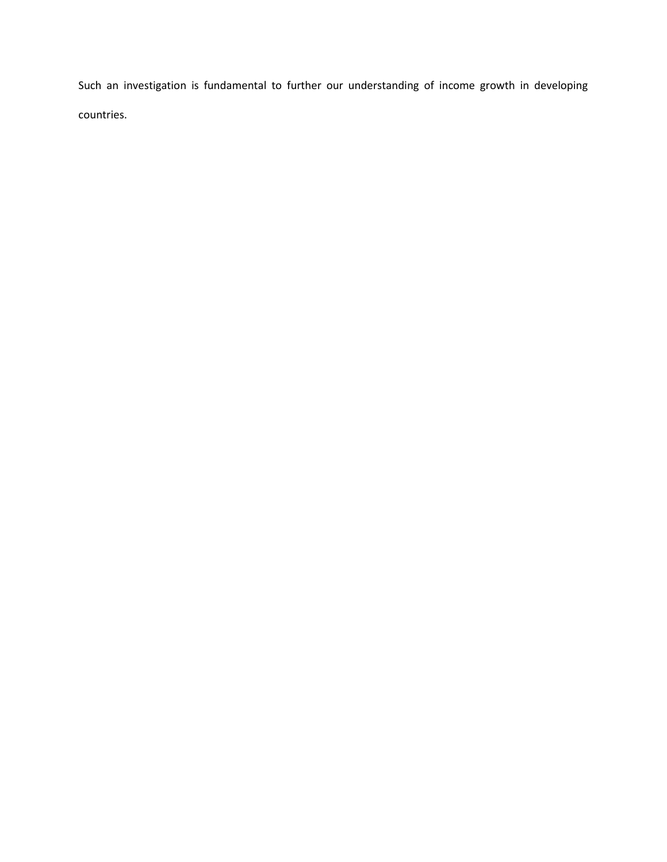Such an investigation is fundamental to further our understanding of income growth in developing countries.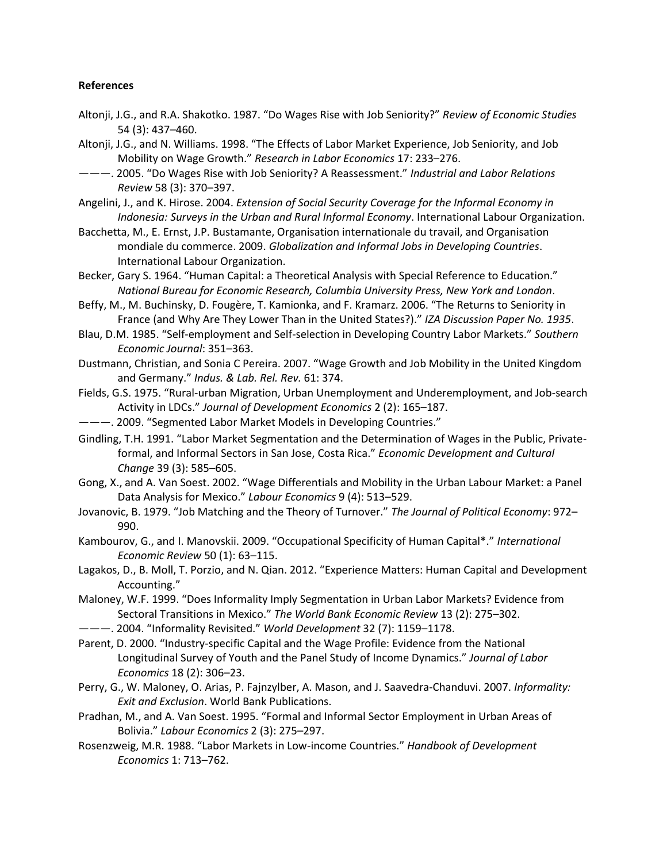#### **References**

- Altonji, J.G., and R.A. Shakotko. 1987. "Do Wages Rise with Job Seniority?" *Review of Economic Studies* 54 (3): 437–460.
- Altonji, J.G., and N. Williams. 1998. "The Effects of Labor Market Experience, Job Seniority, and Job Mobility on Wage Growth." *Research in Labor Economics* 17: 233–276.
- ———. 2005. "Do Wages Rise with Job Seniority? A Reassessment." *Industrial and Labor Relations Review* 58 (3): 370–397.
- Angelini, J., and K. Hirose. 2004. *Extension of Social Security Coverage for the Informal Economy in Indonesia: Surveys in the Urban and Rural Informal Economy*. International Labour Organization.
- Bacchetta, M., E. Ernst, J.P. Bustamante, Organisation internationale du travail, and Organisation mondiale du commerce. 2009. *Globalization and Informal Jobs in Developing Countries*. International Labour Organization.
- Becker, Gary S. 1964. "Human Capital: a Theoretical Analysis with Special Reference to Education." *National Bureau for Economic Research, Columbia University Press, New York and London*.
- Beffy, M., M. Buchinsky, D. Fougère, T. Kamionka, and F. Kramarz. 2006. "The Returns to Seniority in France (and Why Are They Lower Than in the United States?)." *IZA Discussion Paper No. 1935*.
- Blau, D.M. 1985. "Self-employment and Self-selection in Developing Country Labor Markets." *Southern Economic Journal*: 351–363.
- Dustmann, Christian, and Sonia C Pereira. 2007. "Wage Growth and Job Mobility in the United Kingdom and Germany." *Indus. & Lab. Rel. Rev.* 61: 374.
- Fields, G.S. 1975. "Rural-urban Migration, Urban Unemployment and Underemployment, and Job-search Activity in LDCs." *Journal of Development Economics* 2 (2): 165–187.
- ———. 2009. "Segmented Labor Market Models in Developing Countries."
- Gindling, T.H. 1991. "Labor Market Segmentation and the Determination of Wages in the Public, Privateformal, and Informal Sectors in San Jose, Costa Rica." *Economic Development and Cultural Change* 39 (3): 585–605.
- Gong, X., and A. Van Soest. 2002. "Wage Differentials and Mobility in the Urban Labour Market: a Panel Data Analysis for Mexico." *Labour Economics* 9 (4): 513–529.
- Jovanovic, B. 1979. "Job Matching and the Theory of Turnover." *The Journal of Political Economy*: 972– 990.
- Kambourov, G., and I. Manovskii. 2009. "Occupational Specificity of Human Capital\*." *International Economic Review* 50 (1): 63–115.
- Lagakos, D., B. Moll, T. Porzio, and N. Qian. 2012. "Experience Matters: Human Capital and Development Accounting."
- Maloney, W.F. 1999. "Does Informality Imply Segmentation in Urban Labor Markets? Evidence from Sectoral Transitions in Mexico." *The World Bank Economic Review* 13 (2): 275–302.
- ———. 2004. "Informality Revisited." *World Development* 32 (7): 1159–1178.
- Parent, D. 2000. "Industry-specific Capital and the Wage Profile: Evidence from the National Longitudinal Survey of Youth and the Panel Study of Income Dynamics." *Journal of Labor Economics* 18 (2): 306–23.
- Perry, G., W. Maloney, O. Arias, P. Fajnzylber, A. Mason, and J. Saavedra-Chanduvi. 2007. *Informality: Exit and Exclusion*. World Bank Publications.
- Pradhan, M., and A. Van Soest. 1995. "Formal and Informal Sector Employment in Urban Areas of Bolivia." *Labour Economics* 2 (3): 275–297.
- Rosenzweig, M.R. 1988. "Labor Markets in Low-income Countries." *Handbook of Development Economics* 1: 713–762.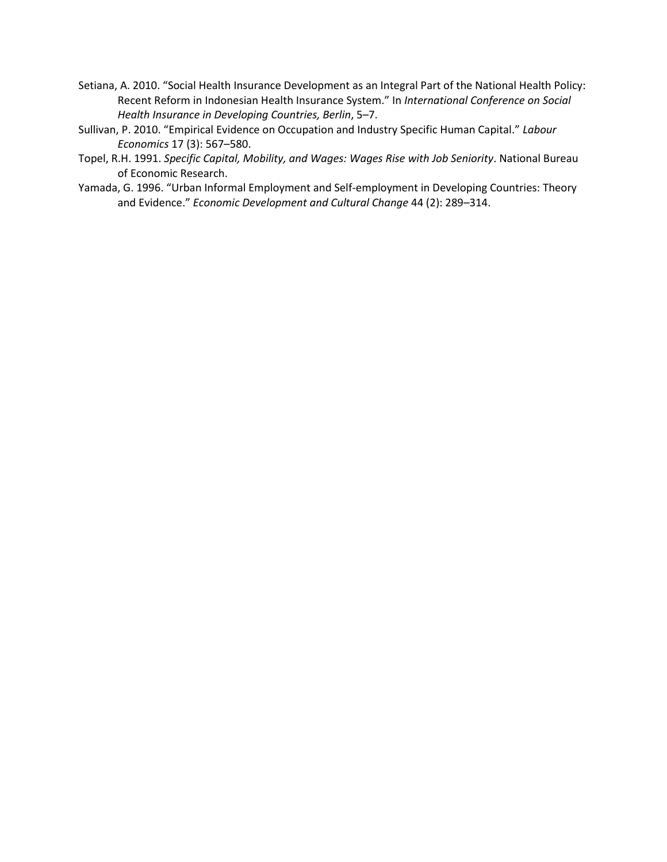- Setiana, A. 2010. "Social Health Insurance Development as an Integral Part of the National Health Policy: Recent Reform in Indonesian Health Insurance System." In *International Conference on Social Health Insurance in Developing Countries, Berlin*, 5–7.
- Sullivan, P. 2010. "Empirical Evidence on Occupation and Industry Specific Human Capital." *Labour Economics* 17 (3): 567–580.
- Topel, R.H. 1991. *Specific Capital, Mobility, and Wages: Wages Rise with Job Seniority*. National Bureau of Economic Research.
- Yamada, G. 1996. "Urban Informal Employment and Self-employment in Developing Countries: Theory and Evidence." *Economic Development and Cultural Change* 44 (2): 289–314.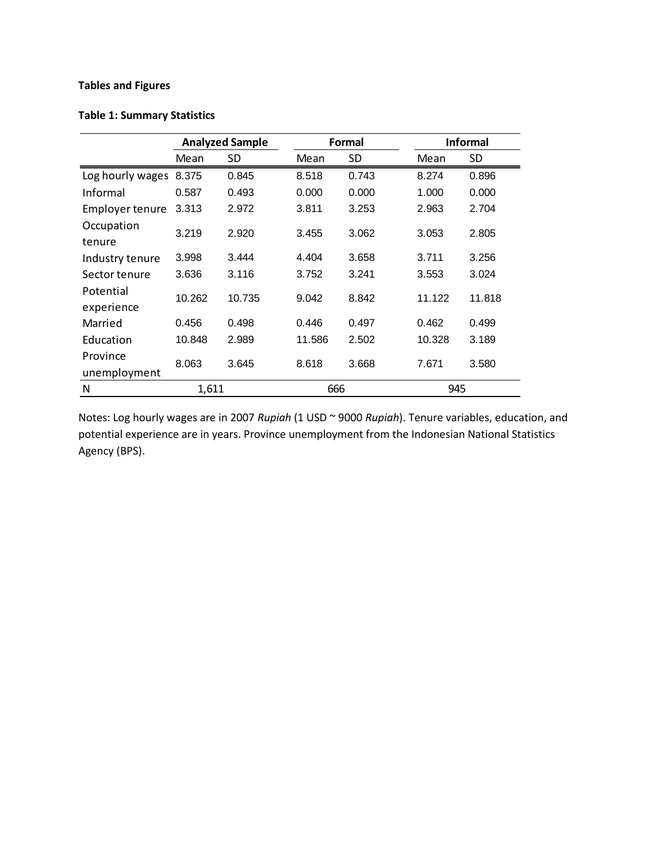## **Tables and Figures**

## **Table 1: Summary Statistics**

|                          | <b>Analyzed Sample</b> |        |        | Formal    | <b>Informal</b> |        |  |
|--------------------------|------------------------|--------|--------|-----------|-----------------|--------|--|
|                          | Mean                   | SD     | Mean   | <b>SD</b> | Mean            | SD     |  |
| Log hourly wages 8.375   |                        | 0.845  | 8.518  | 0.743     | 8.274           | 0.896  |  |
| Informal                 | 0.587                  | 0.493  | 0.000  | 0.000     | 1.000           | 0.000  |  |
| <b>Employer tenure</b>   | 3.313                  | 2.972  | 3.811  | 3.253     | 2.963           | 2.704  |  |
| Occupation<br>tenure     | 3.219                  | 2.920  | 3.455  | 3.062     | 3.053           | 2.805  |  |
| Industry tenure          | 3.998                  | 3.444  | 4.404  | 3.658     | 3.711           | 3.256  |  |
| Sector tenure            | 3.636                  | 3.116  | 3.752  | 3.241     | 3.553           | 3.024  |  |
| Potential<br>experience  | 10.262                 | 10.735 | 9.042  | 8.842     | 11.122          | 11.818 |  |
| Married                  | 0.456                  | 0.498  | 0.446  | 0.497     | 0.462           | 0.499  |  |
| Education                | 10.848                 | 2.989  | 11.586 | 2.502     | 10.328          | 3.189  |  |
| Province<br>unemployment | 8.063                  | 3.645  | 8.618  | 3.668     | 7.671           | 3.580  |  |
| N                        | 1,611                  |        | 666    |           | 945             |        |  |

Notes: Log hourly wages are in 2007 *Rupiah* (1 USD ~ 9000 *Rupiah*). Tenure variables, education, and potential experience are in years. Province unemployment from the Indonesian National Statistics Agency (BPS).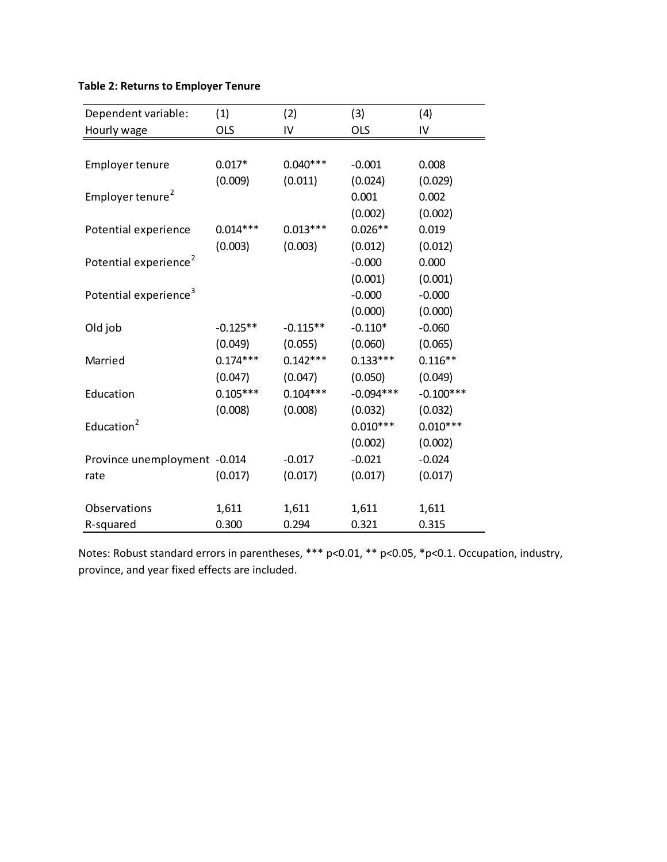# **Table 2: Returns to Employer Tenure**

| Dependent variable:               | (1)        | (2)        | (3)         | (4)         |
|-----------------------------------|------------|------------|-------------|-------------|
| Hourly wage                       | <b>OLS</b> | IV         | <b>OLS</b>  | IV          |
|                                   |            |            |             |             |
| <b>Employer tenure</b>            | $0.017*$   | $0.040***$ | $-0.001$    | 0.008       |
|                                   | (0.009)    | (0.011)    | (0.024)     | (0.029)     |
| Employer tenure <sup>2</sup>      |            |            | 0.001       | 0.002       |
|                                   |            |            | (0.002)     | (0.002)     |
| Potential experience              | $0.014***$ | $0.013***$ | $0.026**$   | 0.019       |
|                                   | (0.003)    | (0.003)    | (0.012)     | (0.012)     |
| Potential experience <sup>2</sup> |            |            | $-0.000$    | 0.000       |
|                                   |            |            | (0.001)     | (0.001)     |
| Potential experience <sup>3</sup> |            |            | $-0.000$    | $-0.000$    |
|                                   |            |            | (0.000)     | (0.000)     |
| Old job                           | $-0.125**$ | $-0.115**$ | $-0.110*$   | $-0.060$    |
|                                   | (0.049)    | (0.055)    | (0.060)     | (0.065)     |
| Married                           | $0.174***$ | $0.142***$ | $0.133***$  | $0.116**$   |
|                                   | (0.047)    | (0.047)    | (0.050)     | (0.049)     |
| Education                         | $0.105***$ | $0.104***$ | $-0.094***$ | $-0.100***$ |
|                                   | (0.008)    | (0.008)    | (0.032)     | (0.032)     |
| Education <sup>2</sup>            |            |            | $0.010***$  | $0.010***$  |
|                                   |            |            | (0.002)     | (0.002)     |
| Province unemployment -0.014      |            | $-0.017$   | $-0.021$    | $-0.024$    |
| rate                              | (0.017)    | (0.017)    | (0.017)     | (0.017)     |
|                                   |            |            |             |             |
| Observations                      | 1,611      | 1,611      | 1,611       | 1,611       |
| R-squared                         | 0.300      | 0.294      | 0.321       | 0.315       |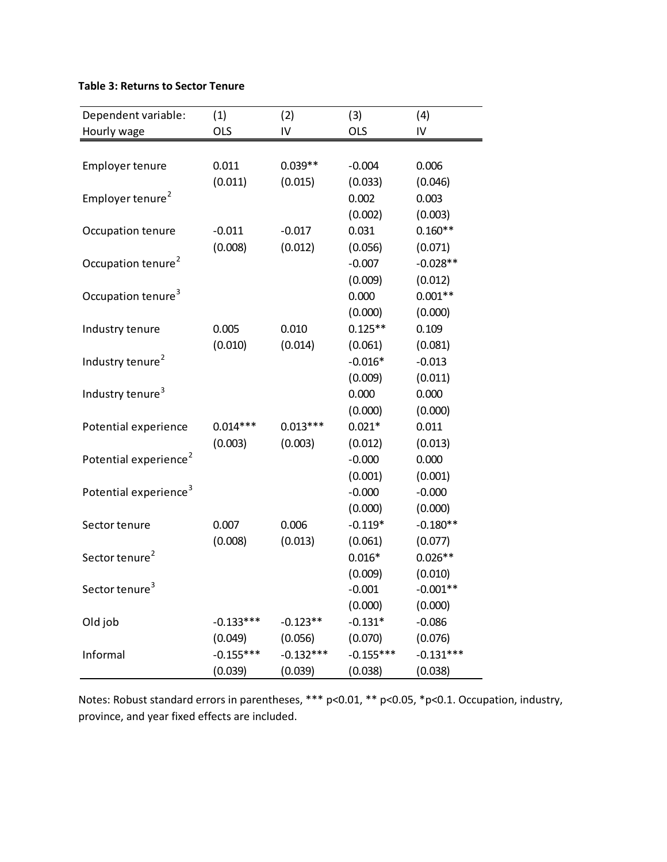## **Table 3: Returns to Sector Tenure**

| Dependent variable:               | (1)         | (2)         | (3)         | (4)         |
|-----------------------------------|-------------|-------------|-------------|-------------|
| Hourly wage                       | <b>OLS</b>  | IV          | <b>OLS</b>  | IV          |
|                                   |             |             |             |             |
| <b>Employer tenure</b>            | 0.011       | $0.039**$   | $-0.004$    | 0.006       |
|                                   | (0.011)     | (0.015)     | (0.033)     | (0.046)     |
| Employer tenure <sup>2</sup>      |             |             | 0.002       | 0.003       |
|                                   |             |             | (0.002)     | (0.003)     |
| Occupation tenure                 | $-0.011$    | $-0.017$    | 0.031       | $0.160**$   |
|                                   | (0.008)     | (0.012)     | (0.056)     | (0.071)     |
| Occupation tenure <sup>2</sup>    |             |             | $-0.007$    | $-0.028**$  |
|                                   |             |             | (0.009)     | (0.012)     |
| Occupation tenure <sup>3</sup>    |             |             | 0.000       | $0.001**$   |
|                                   |             |             | (0.000)     | (0.000)     |
| Industry tenure                   | 0.005       | 0.010       | $0.125**$   | 0.109       |
|                                   | (0.010)     | (0.014)     | (0.061)     | (0.081)     |
| Industry tenure <sup>2</sup>      |             |             | $-0.016*$   | $-0.013$    |
|                                   |             |             | (0.009)     | (0.011)     |
| Industry tenure <sup>3</sup>      |             |             | 0.000       | 0.000       |
|                                   |             |             | (0.000)     | (0.000)     |
| Potential experience              | $0.014***$  | $0.013***$  | $0.021*$    | 0.011       |
|                                   | (0.003)     | (0.003)     | (0.012)     | (0.013)     |
| Potential experience <sup>2</sup> |             |             | $-0.000$    | 0.000       |
|                                   |             |             | (0.001)     | (0.001)     |
| Potential experience <sup>3</sup> |             |             | $-0.000$    | $-0.000$    |
|                                   |             |             | (0.000)     | (0.000)     |
| Sector tenure                     | 0.007       | 0.006       | $-0.119*$   | $-0.180**$  |
|                                   | (0.008)     | (0.013)     | (0.061)     | (0.077)     |
| Sector tenure <sup>2</sup>        |             |             | $0.016*$    | $0.026**$   |
|                                   |             |             | (0.009)     | (0.010)     |
| Sector tenure <sup>3</sup>        |             |             | $-0.001$    | $-0.001**$  |
|                                   |             |             | (0.000)     | (0.000)     |
| Old job                           | $-0.133***$ | $-0.123**$  | $-0.131*$   | $-0.086$    |
|                                   | (0.049)     | (0.056)     | (0.070)     | (0.076)     |
| Informal                          | $-0.155***$ | $-0.132***$ | $-0.155***$ | $-0.131***$ |
|                                   | (0.039)     | (0.039)     | (0.038)     | (0.038)     |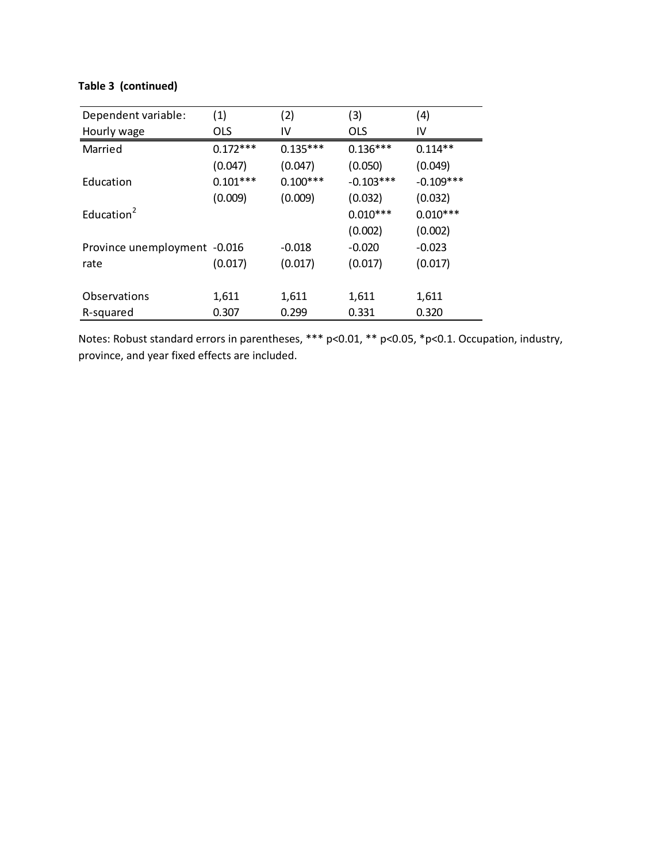| Dependent variable:          | (1)        | (2)        | (3)         | (4)         |
|------------------------------|------------|------------|-------------|-------------|
| Hourly wage                  | <b>OLS</b> | IV         | <b>OLS</b>  | IV          |
| Married                      | $0.172***$ | $0.135***$ | $0.136***$  | $0.114**$   |
|                              | (0.047)    | (0.047)    | (0.050)     | (0.049)     |
| Education                    | $0.101***$ | $0.100***$ | $-0.103***$ | $-0.109***$ |
|                              | (0.009)    | (0.009)    | (0.032)     | (0.032)     |
| Education <sup>2</sup>       |            |            | $0.010***$  | $0.010***$  |
|                              |            |            | (0.002)     | (0.002)     |
| Province unemployment -0.016 |            | $-0.018$   | $-0.020$    | $-0.023$    |
| rate                         | (0.017)    | (0.017)    | (0.017)     | (0.017)     |
|                              |            |            |             |             |
| Observations                 | 1,611      | 1,611      | 1,611       | 1,611       |
| R-squared                    | 0.307      | 0.299      | 0.331       | 0.320       |

# **Table 3 (continued)**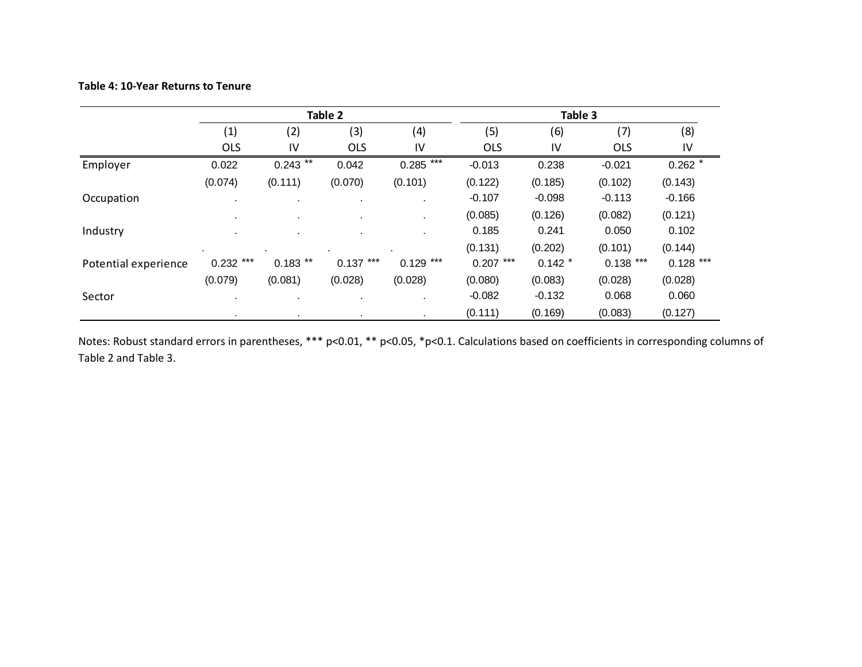## **Table 4: 10-Year Returns to Tenure**

|                      |             |              | Table 2        |                | Table 3     |           |              |             |
|----------------------|-------------|--------------|----------------|----------------|-------------|-----------|--------------|-------------|
|                      | (1)         | (2)          | (3)            | (4)            | (5)         | (6)       | (7)          | (8)         |
|                      | <b>OLS</b>  | IV           | <b>OLS</b>     | IV             | <b>OLS</b>  | IV        | <b>OLS</b>   | IV          |
| Employer             | 0.022       | $0.243$ **   | 0.042          | $***$<br>0.285 | $-0.013$    | 0.238     | $-0.021$     | 0.262       |
|                      | (0.074)     | (0.111)      | (0.070)        | (0.101)        | (0.122)     | (0.185)   | (0.102)      | (0.143)     |
| Occupation           |             |              |                |                | $-0.107$    | $-0.098$  | $-0.113$     | $-0.166$    |
|                      |             |              |                |                | (0.085)     | (0.126)   | (0.082)      | (0.121)     |
| Industry             |             | $\mathbf{r}$ | $\blacksquare$ |                | 0.185       | 0.241     | 0.050        | 0.102       |
|                      |             |              |                |                | (0.131)     | (0.202)   | (0.101)      | (0.144)     |
| Potential experience | $0.232$ *** | $0.183$ **   | $0.137***$     | $0.129$ ***    | $0.207$ *** | $0.142$ * | ***<br>0.138 | $0.128$ *** |
|                      | (0.079)     | (0.081)      | (0.028)        | (0.028)        | (0.080)     | (0.083)   | (0.028)      | (0.028)     |
| Sector               |             | $\bullet$    |                |                | $-0.082$    | $-0.132$  | 0.068        | 0.060       |
|                      |             |              |                |                | (0.111)     | (0.169)   | (0.083)      | (0.127)     |

Notes: Robust standard errors in parentheses, \*\*\* p<0.01, \*\* p<0.05, \*p<0.1. Calculations based on coefficients in corresponding columns of Table 2 and Table 3.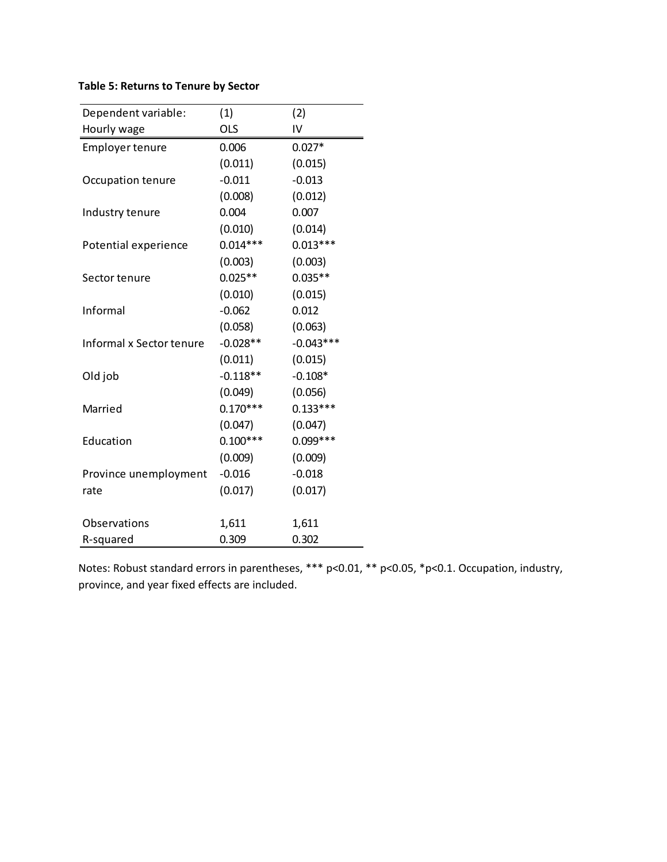# **Table 5: Returns to Tenure by Sector**

| Dependent variable:      | (1)        | (2)         |
|--------------------------|------------|-------------|
| Hourly wage              | <b>OLS</b> | IV          |
| <b>Employer tenure</b>   | 0.006      | $0.027*$    |
|                          | (0.011)    | (0.015)     |
| Occupation tenure        | $-0.011$   | $-0.013$    |
|                          | (0.008)    | (0.012)     |
| Industry tenure          | 0.004      | 0.007       |
|                          | (0.010)    | (0.014)     |
| Potential experience     | $0.014***$ | $0.013***$  |
|                          | (0.003)    | (0.003)     |
| Sector tenure            | $0.025**$  | $0.035**$   |
|                          | (0.010)    | (0.015)     |
| Informal                 | $-0.062$   | 0.012       |
|                          | (0.058)    | (0.063)     |
| Informal x Sector tenure | $-0.028**$ | $-0.043***$ |
|                          | (0.011)    | (0.015)     |
| Old job                  | $-0.118**$ | $-0.108*$   |
|                          | (0.049)    | (0.056)     |
| Married                  | $0.170***$ | $0.133***$  |
|                          | (0.047)    | (0.047)     |
| Education                | $0.100***$ | 0.099 ***   |
|                          | (0.009)    | (0.009)     |
| Province unemployment    | $-0.016$   | $-0.018$    |
| rate                     | (0.017)    | (0.017)     |
|                          |            |             |
| Observations             | 1,611      | 1,611       |
| R-squared                | 0.309      | 0.302       |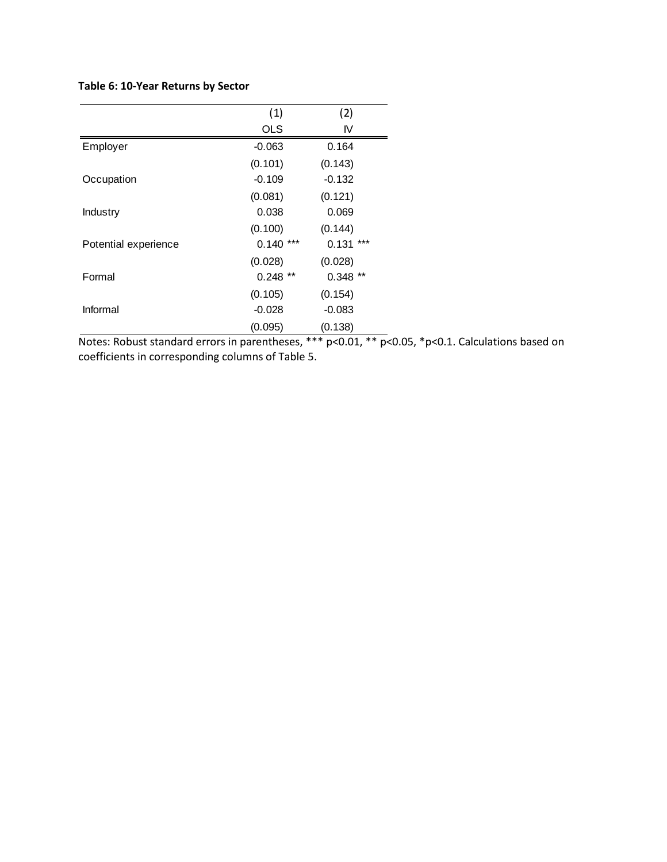# **Table 6: 10-Year Returns by Sector**

|                      | (1)            | (2)          |
|----------------------|----------------|--------------|
|                      | <b>OLS</b>     | IV           |
| Employer             | $-0.063$       | 0.164        |
|                      | (0.101)        | (0.143)      |
| Occupation           | $-0.109$       | $-0.132$     |
|                      | (0.081)        | (0.121)      |
| Industry             | 0.038          | 0.069        |
|                      | (0.100)        | (0.144)      |
| Potential experience | ***<br>0.140   | ***<br>0.131 |
|                      | (0.028)        | (0.028)      |
| Formal               | $***$<br>0.248 | $0.348$ **   |
|                      | (0.105)        | (0.154)      |
| Informal             | $-0.028$       | $-0.083$     |
|                      | (0.095)        | (0.138)      |

Notes: Robust standard errors in parentheses, \*\*\* p<0.01, \*\* p<0.05, \*p<0.1. Calculations based on coefficients in corresponding columns of Table 5.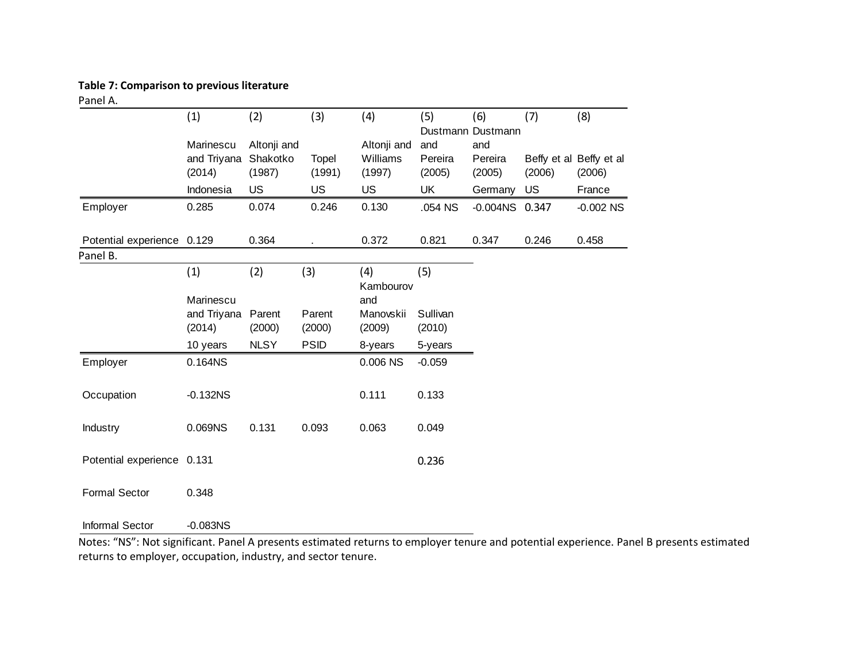## **Table 7: Comparison to previous literature**

| Panel A.                   |                                    |                                   |                  |                                   |                          |                          |           |                                   |
|----------------------------|------------------------------------|-----------------------------------|------------------|-----------------------------------|--------------------------|--------------------------|-----------|-----------------------------------|
|                            | (1)                                | (2)                               | (3)              | (4)                               | (5)                      | (6)<br>Dustmann Dustmann | (7)       | (8)                               |
|                            | Marinescu<br>and Triyana<br>(2014) | Altonji and<br>Shakotko<br>(1987) | Topel<br>(1991)  | Altonji and<br>Williams<br>(1997) | and<br>Pereira<br>(2005) | and<br>Pereira<br>(2005) | (2006)    | Beffy et al Beffy et al<br>(2006) |
|                            | Indonesia                          | <b>US</b>                         | <b>US</b>        | <b>US</b>                         | <b>UK</b>                | Germany                  | <b>US</b> | France                            |
| Employer                   | 0.285                              | 0.074                             | 0.246            | 0.130                             | .054 NS                  | $-0.004NS$               | 0.347     | $-0.002$ NS                       |
| Potential experience 0.129 |                                    | 0.364                             |                  | 0.372                             | 0.821                    | 0.347                    | 0.246     | 0.458                             |
| Panel B.                   |                                    |                                   |                  |                                   |                          |                          |           |                                   |
|                            | (1)                                | (2)                               | (3)              | (4)<br>Kambourov                  | (5)                      |                          |           |                                   |
|                            | Marinescu                          |                                   |                  | and                               |                          |                          |           |                                   |
|                            | and Triyana<br>(2014)              | Parent<br>(2000)                  | Parent<br>(2000) | Manovskii<br>(2009)               | Sullivan<br>(2010)       |                          |           |                                   |
|                            | 10 years                           | <b>NLSY</b>                       | <b>PSID</b>      | 8-years                           | 5-years                  |                          |           |                                   |
| Employer                   | 0.164NS                            |                                   |                  | 0.006 NS                          | $-0.059$                 |                          |           |                                   |
| Occupation                 | $-0.132NS$                         |                                   |                  | 0.111                             | 0.133                    |                          |           |                                   |
| Industry                   | 0.069NS                            | 0.131                             | 0.093            | 0.063                             | 0.049                    |                          |           |                                   |
| Potential experience 0.131 |                                    |                                   |                  |                                   | 0.236                    |                          |           |                                   |
| <b>Formal Sector</b>       | 0.348                              |                                   |                  |                                   |                          |                          |           |                                   |
| Informal Sector            | $-0.083NS$                         |                                   |                  |                                   |                          |                          |           |                                   |

Notes: "NS": Not significant. Panel A presents estimated returns to employer tenure and potential experience. Panel B presents estimated returns to employer, occupation, industry, and sector tenure.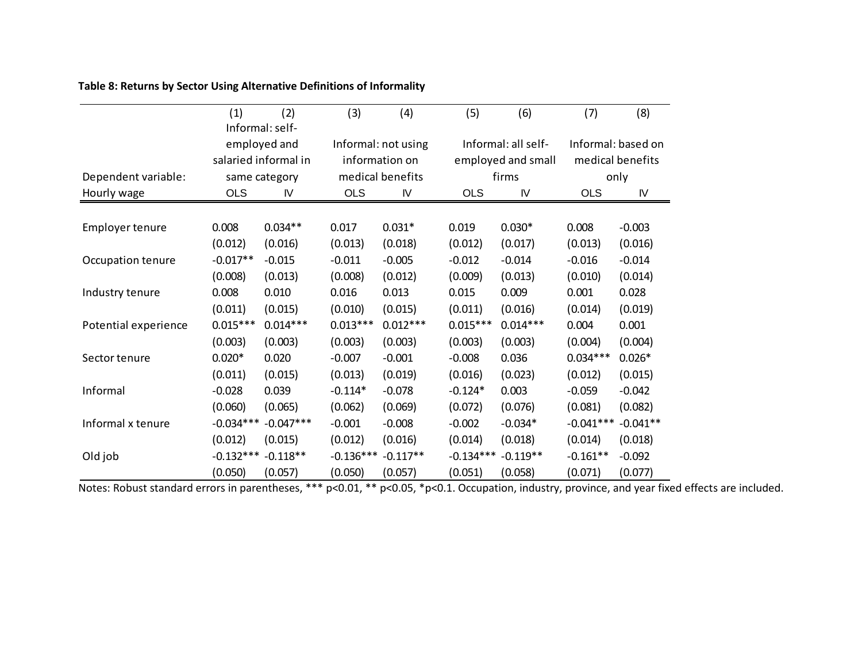|                      | (1)         | (2)<br>Informal: self- | (3)         | (4)                 | (5)         | (6)                 | (7)         | (8)                |
|----------------------|-------------|------------------------|-------------|---------------------|-------------|---------------------|-------------|--------------------|
|                      |             | employed and           |             | Informal: not using |             | Informal: all self- |             | Informal: based on |
|                      |             | salaried informal in   |             | information on      |             | employed and small  |             | medical benefits   |
| Dependent variable:  |             | same category          |             | medical benefits    |             | firms               |             | only               |
| Hourly wage          | <b>OLS</b>  | IV                     | <b>OLS</b>  | IV                  | <b>OLS</b>  | IV                  | <b>OLS</b>  | IV                 |
|                      |             |                        |             |                     |             |                     |             |                    |
| Employer tenure      | 0.008       | $0.034**$              | 0.017       | $0.031*$            | 0.019       | $0.030*$            | 0.008       | $-0.003$           |
|                      | (0.012)     | (0.016)                | (0.013)     | (0.018)             | (0.012)     | (0.017)             | (0.013)     | (0.016)            |
| Occupation tenure    | $-0.017**$  | $-0.015$               | $-0.011$    | $-0.005$            | $-0.012$    | $-0.014$            | $-0.016$    | $-0.014$           |
|                      | (0.008)     | (0.013)                | (0.008)     | (0.012)             | (0.009)     | (0.013)             | (0.010)     | (0.014)            |
| Industry tenure      | 0.008       | 0.010                  | 0.016       | 0.013               | 0.015       | 0.009               | 0.001       | 0.028              |
|                      | (0.011)     | (0.015)                | (0.010)     | (0.015)             | (0.011)     | (0.016)             | (0.014)     | (0.019)            |
| Potential experience | $0.015***$  | $0.014***$             | $0.013***$  | $0.012***$          | $0.015***$  | $0.014***$          | 0.004       | 0.001              |
|                      | (0.003)     | (0.003)                | (0.003)     | (0.003)             | (0.003)     | (0.003)             | (0.004)     | (0.004)            |
| Sector tenure        | $0.020*$    | 0.020                  | $-0.007$    | $-0.001$            | $-0.008$    | 0.036               | $0.034***$  | $0.026*$           |
|                      | (0.011)     | (0.015)                | (0.013)     | (0.019)             | (0.016)     | (0.023)             | (0.012)     | (0.015)            |
| Informal             | $-0.028$    | 0.039                  | $-0.114*$   | $-0.078$            | $-0.124*$   | 0.003               | $-0.059$    | $-0.042$           |
|                      | (0.060)     | (0.065)                | (0.062)     | (0.069)             | (0.072)     | (0.076)             | (0.081)     | (0.082)            |
| Informal x tenure    | $-0.034***$ | $-0.047***$            | $-0.001$    | $-0.008$            | $-0.002$    | $-0.034*$           | $-0.041***$ | $-0.041**$         |
|                      | (0.012)     | (0.015)                | (0.012)     | (0.016)             | (0.014)     | (0.018)             | (0.014)     | (0.018)            |
| Old job              | $-0.132***$ | $-0.118**$             | $-0.136***$ | $-0.117**$          | $-0.134***$ | $-0.119**$          | $-0.161**$  | $-0.092$           |
|                      | (0.050)     | (0.057)                | (0.050)     | (0.057)             | (0.051)     | (0.058)             | (0.071)     | (0.077)            |

## **Table 8: Returns by Sector Using Alternative Definitions of Informality**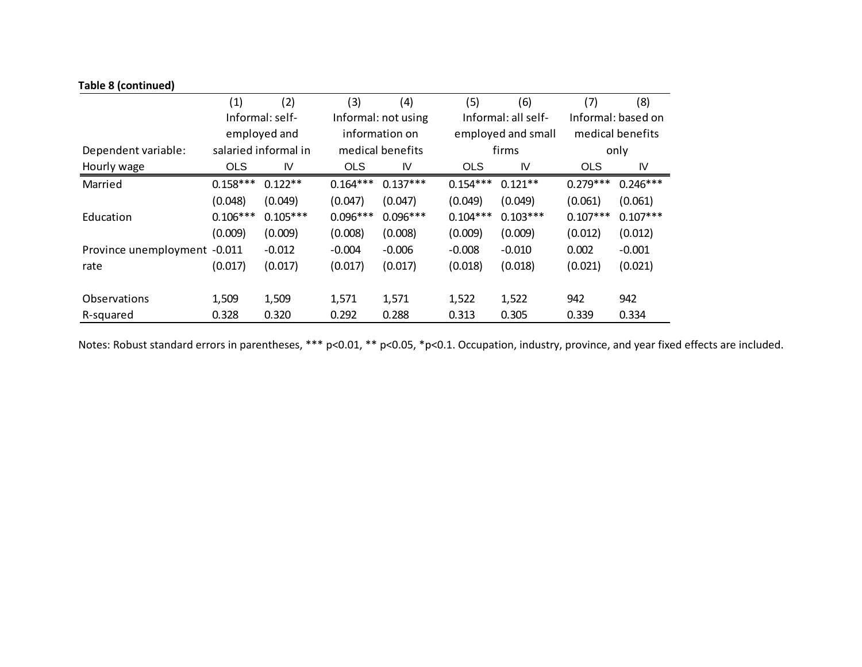# **Table 8 (continued)**

|                              | (1)        | (2)                  | (3)        | (4)                 | (5)        | (6)                 | (7)        | (8)                |
|------------------------------|------------|----------------------|------------|---------------------|------------|---------------------|------------|--------------------|
|                              |            | Informal: self-      |            | Informal: not using |            | Informal: all self- |            | Informal: based on |
|                              |            | employed and         |            | information on      |            | employed and small  |            | medical benefits   |
| Dependent variable:          |            | salaried informal in |            | medical benefits    |            | firms               |            | only               |
| Hourly wage                  | <b>OLS</b> | IV                   | <b>OLS</b> | IV                  | <b>OLS</b> | IV                  | <b>OLS</b> | IV                 |
| Married                      | $0.158***$ | $0.122**$            | $0.164***$ | $0.137***$          | $0.154***$ | $0.121**$           | $0.279***$ | $0.246***$         |
|                              | (0.048)    | (0.049)              | (0.047)    | (0.047)             | (0.049)    | (0.049)             | (0.061)    | (0.061)            |
| Education                    | $0.106***$ | $0.105***$           | $0.096***$ | $0.096***$          | $0.104***$ | $0.103***$          | $0.107***$ | $0.107***$         |
|                              | (0.009)    | (0.009)              | (0.008)    | (0.008)             | (0.009)    | (0.009)             | (0.012)    | (0.012)            |
| Province unemployment -0.011 |            | $-0.012$             | $-0.004$   | $-0.006$            | $-0.008$   | $-0.010$            | 0.002      | $-0.001$           |
| rate                         | (0.017)    | (0.017)              | (0.017)    | (0.017)             | (0.018)    | (0.018)             | (0.021)    | (0.021)            |
|                              |            |                      |            |                     |            |                     |            |                    |
| Observations                 | 1,509      | 1,509                | 1,571      | 1,571               | 1,522      | 1,522               | 942        | 942                |
| R-squared                    | 0.328      | 0.320                | 0.292      | 0.288               | 0.313      | 0.305               | 0.339      | 0.334              |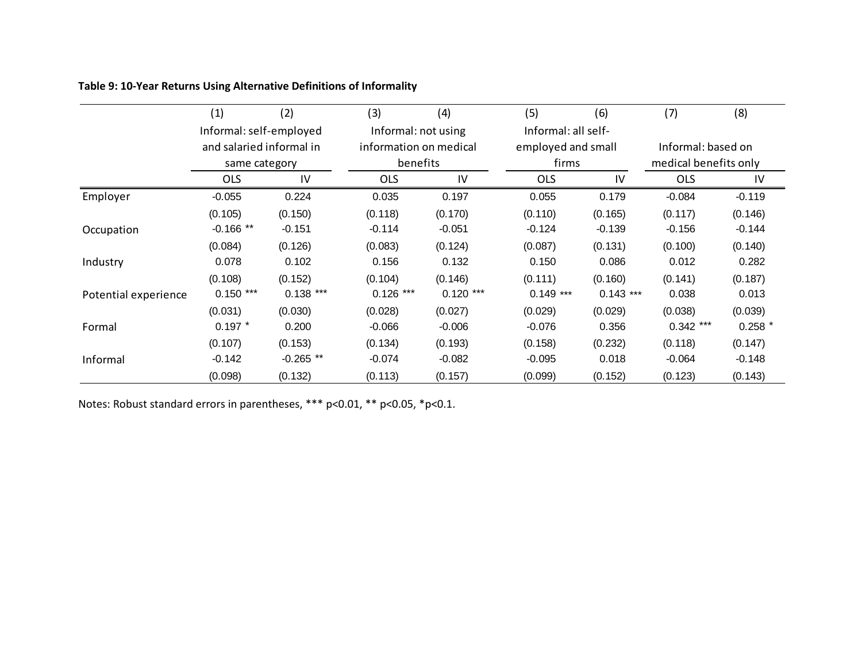## **Table 9: 10-Year Returns Using Alternative Definitions of Informality**

|                      | (1)                      | (2)         | (3)                    | (4)         | (5)                 | (6)         | (7)                   | (8)       |  |
|----------------------|--------------------------|-------------|------------------------|-------------|---------------------|-------------|-----------------------|-----------|--|
|                      | Informal: self-employed  |             | Informal: not using    |             | Informal: all self- |             |                       |           |  |
|                      | and salaried informal in |             | information on medical |             | employed and small  |             | Informal: based on    |           |  |
|                      | same category            |             | benefits               |             | firms               |             | medical benefits only |           |  |
|                      | <b>OLS</b>               | IV          | <b>OLS</b>             | IV          | <b>OLS</b>          | IV          | <b>OLS</b>            | IV        |  |
| Employer             | $-0.055$                 | 0.224       | 0.035                  | 0.197       | 0.055               | 0.179       | $-0.084$              | $-0.119$  |  |
|                      | (0.105)                  | (0.150)     | (0.118)                | (0.170)     | (0.110)             | (0.165)     | (0.117)               | (0.146)   |  |
| Occupation           | $-0.166$ **              | $-0.151$    | $-0.114$               | $-0.051$    | $-0.124$            | $-0.139$    | $-0.156$              | $-0.144$  |  |
|                      | (0.084)                  | (0.126)     | (0.083)                | (0.124)     | (0.087)             | (0.131)     | (0.100)               | (0.140)   |  |
| Industry             | 0.078                    | 0.102       | 0.156                  | 0.132       | 0.150               | 0.086       | 0.012                 | 0.282     |  |
|                      | (0.108)                  | (0.152)     | (0.104)                | (0.146)     | (0.111)             | (0.160)     | (0.141)               | (0.187)   |  |
| Potential experience | $0.150***$               | $0.138***$  | $0.126$ ***            | $0.120$ *** | $0.149$ ***         | $0.143$ *** | 0.038                 | 0.013     |  |
|                      | (0.031)                  | (0.030)     | (0.028)                | (0.027)     | (0.029)             | (0.029)     | (0.038)               | (0.039)   |  |
| Formal               | $0.197*$                 | 0.200       | $-0.066$               | $-0.006$    | $-0.076$            | 0.356       | $0.342$ ***           | $0.258$ * |  |
|                      | (0.107)                  | (0.153)     | (0.134)                | (0.193)     | (0.158)             | (0.232)     | (0.118)               | (0.147)   |  |
| Informal             | $-0.142$                 | $-0.265$ ** | $-0.074$               | $-0.082$    | $-0.095$            | 0.018       | $-0.064$              | $-0.148$  |  |
|                      | (0.098)                  | (0.132)     | (0.113)                | (0.157)     | (0.099)             | (0.152)     | (0.123)               | (0.143)   |  |

Notes: Robust standard errors in parentheses, \*\*\* p<0.01, \*\* p<0.05, \*p<0.1.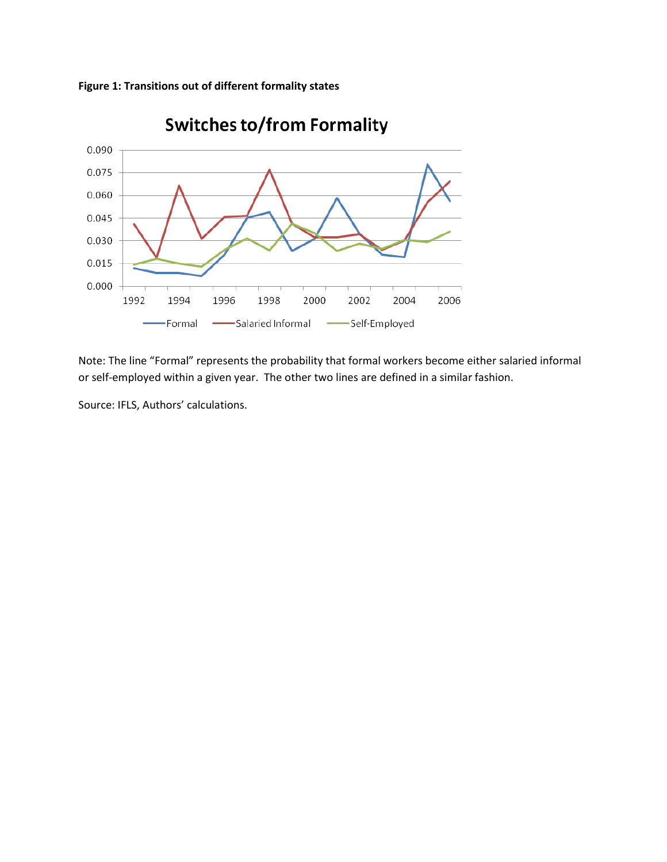



**Switches to/from Formality** 

Note: The line "Formal" represents the probability that formal workers become either salaried informal or self-employed within a given year. The other two lines are defined in a similar fashion.

Source: IFLS, Authors' calculations.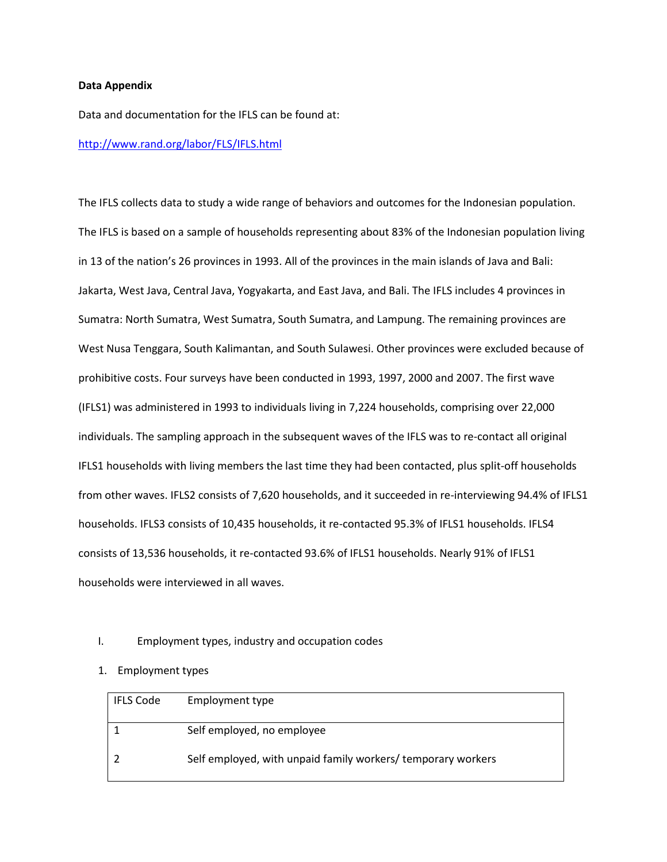#### **Data Appendix**

Data and documentation for the IFLS can be found at:

#### <http://www.rand.org/labor/FLS/IFLS.html>

The IFLS collects data to study a wide range of behaviors and outcomes for the Indonesian population. The IFLS is based on a sample of households representing about 83% of the Indonesian population living in 13 of the nation's 26 provinces in 1993. All of the provinces in the main islands of Java and Bali: Jakarta, West Java, Central Java, Yogyakarta, and East Java, and Bali. The IFLS includes 4 provinces in Sumatra: North Sumatra, West Sumatra, South Sumatra, and Lampung. The remaining provinces are West Nusa Tenggara, South Kalimantan, and South Sulawesi. Other provinces were excluded because of prohibitive costs. Four surveys have been conducted in 1993, 1997, 2000 and 2007. The first wave (IFLS1) was administered in 1993 to individuals living in 7,224 households, comprising over 22,000 individuals. The sampling approach in the subsequent waves of the IFLS was to re-contact all original IFLS1 households with living members the last time they had been contacted, plus split-off households from other waves. IFLS2 consists of 7,620 households, and it succeeded in re-interviewing 94.4% of IFLS1 households. IFLS3 consists of 10,435 households, it re-contacted 95.3% of IFLS1 households. IFLS4 consists of 13,536 households, it re-contacted 93.6% of IFLS1 households. Nearly 91% of IFLS1 households were interviewed in all waves.

#### I. Employment types, industry and occupation codes

#### 1. Employment types

| <b>IFLS Code</b> | Employment type                                              |
|------------------|--------------------------------------------------------------|
|                  | Self employed, no employee                                   |
|                  | Self employed, with unpaid family workers/ temporary workers |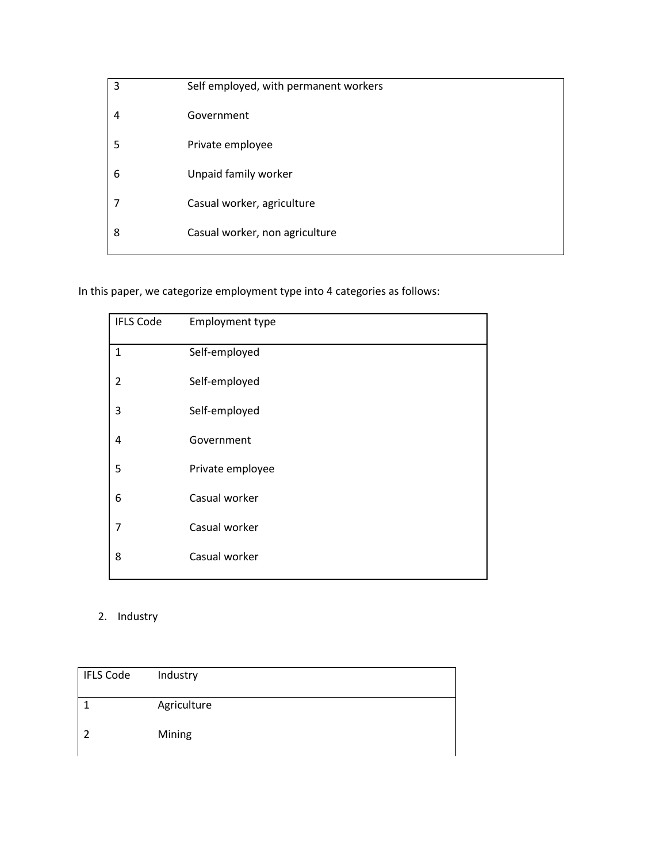| 3 | Self employed, with permanent workers |
|---|---------------------------------------|
| 4 | Government                            |
| 5 | Private employee                      |
| 6 | Unpaid family worker                  |
|   | Casual worker, agriculture            |
| 8 | Casual worker, non agriculture        |
|   |                                       |

In this paper, we categorize employment type into 4 categories as follows:

| <b>IFLS Code</b> | Employment type  |
|------------------|------------------|
| $\mathbf{1}$     | Self-employed    |
| $\overline{2}$   | Self-employed    |
| 3                | Self-employed    |
| 4                | Government       |
| 5                | Private employee |
| 6                | Casual worker    |
| 7                | Casual worker    |
| 8                | Casual worker    |

# 2. Industry

| <b>IFLS Code</b> | Industry    |
|------------------|-------------|
|                  | Agriculture |
|                  | Mining      |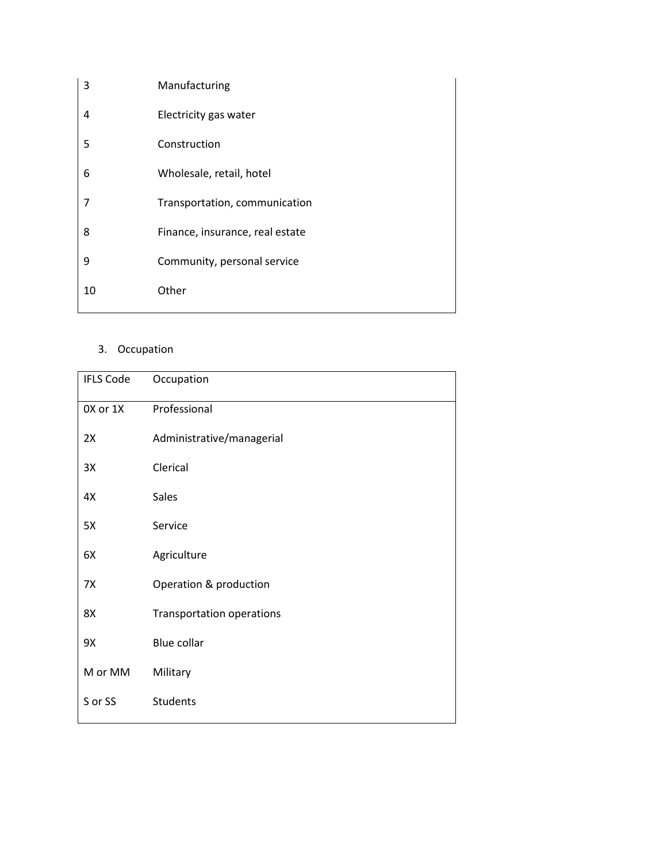| 3  | Manufacturing                   |
|----|---------------------------------|
| 4  | Electricity gas water           |
| 5  | Construction                    |
| 6  | Wholesale, retail, hotel        |
| 7  | Transportation, communication   |
| 8  | Finance, insurance, real estate |
| 9  | Community, personal service     |
| 10 | Other                           |
|    |                                 |

# 3. Occupation

| <b>IFLS Code</b> | Occupation                       |
|------------------|----------------------------------|
| 0X or 1X         | Professional                     |
| 2X               | Administrative/managerial        |
| 3X               | Clerical                         |
| 4X               | Sales                            |
| 5X               | Service                          |
| 6X               | Agriculture                      |
| 7X               | Operation & production           |
| 8X               | <b>Transportation operations</b> |
| 9X               | <b>Blue collar</b>               |
| M or MM          | Military                         |
| S or SS          | <b>Students</b>                  |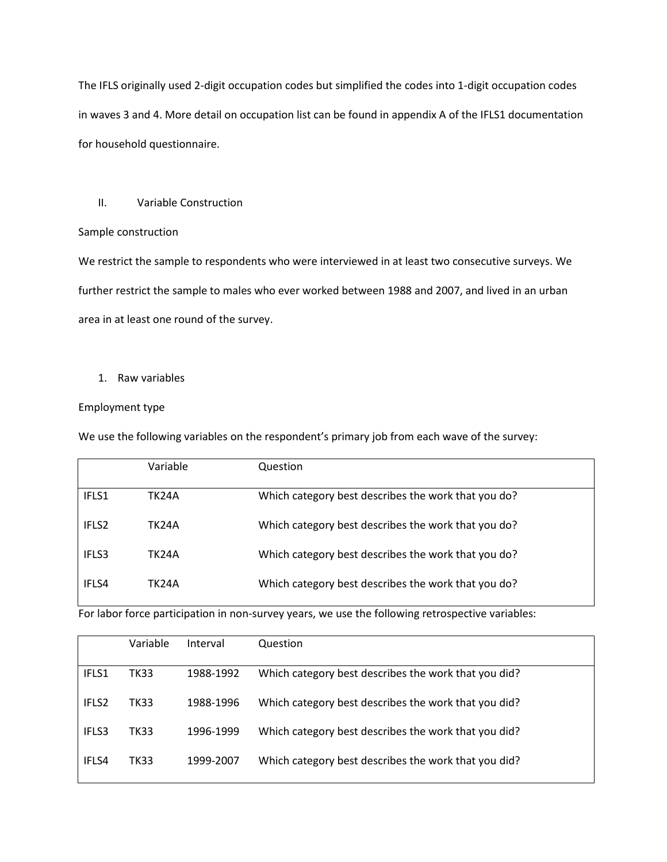The IFLS originally used 2-digit occupation codes but simplified the codes into 1-digit occupation codes in waves 3 and 4. More detail on occupation list can be found in appendix A of the IFLS1 documentation for household questionnaire.

## II. Variable Construction

## Sample construction

We restrict the sample to respondents who were interviewed in at least two consecutive surveys. We further restrict the sample to males who ever worked between 1988 and 2007, and lived in an urban area in at least one round of the survey.

## 1. Raw variables

## Employment type

We use the following variables on the respondent's primary job from each wave of the survey:

|                   | Variable | Question                                            |
|-------------------|----------|-----------------------------------------------------|
| IFLS1             | TK24A    | Which category best describes the work that you do? |
| IFLS <sub>2</sub> | TK24A    | Which category best describes the work that you do? |
| IFLS3             | TK24A    | Which category best describes the work that you do? |
| IFLS4             | TK24A    | Which category best describes the work that you do? |

For labor force participation in non-survey years, we use the following retrospective variables:

|                   | Variable | Interval  | Question                                             |
|-------------------|----------|-----------|------------------------------------------------------|
| IFLS1             | TK33.    | 1988-1992 | Which category best describes the work that you did? |
| IFLS <sub>2</sub> | TK33.    | 1988-1996 | Which category best describes the work that you did? |
| IFLS3             | TK33.    | 1996-1999 | Which category best describes the work that you did? |
| IFLS4             | TK33.    | 1999-2007 | Which category best describes the work that you did? |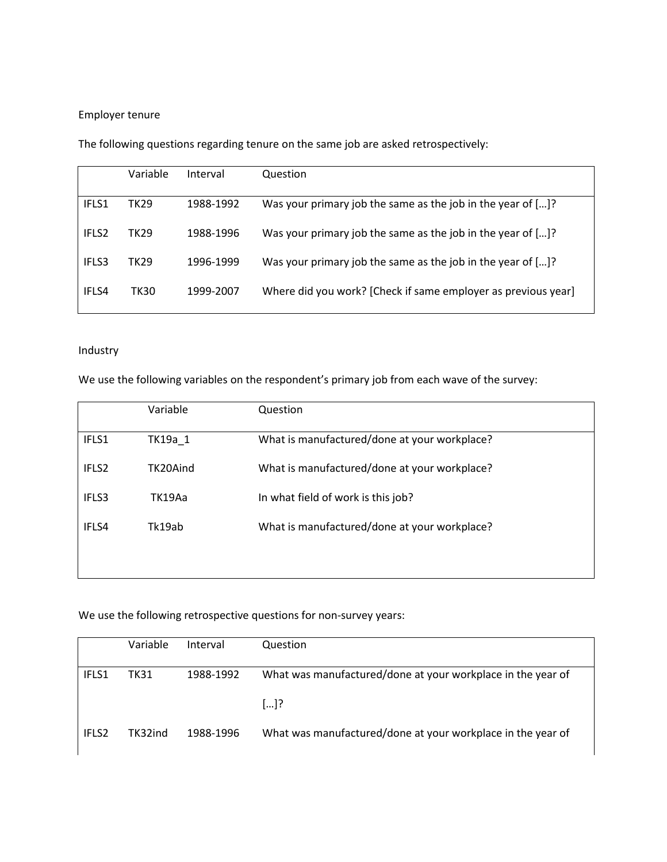## Employer tenure

The following questions regarding tenure on the same job are asked retrospectively:

|                   | Variable | Interval  | Question                                                      |
|-------------------|----------|-----------|---------------------------------------------------------------|
| IFLS1             | TK29     | 1988-1992 | Was your primary job the same as the job in the year of []?   |
| IFLS <sub>2</sub> | TK29     | 1988-1996 | Was your primary job the same as the job in the year of []?   |
| IFLS3             | TK29     | 1996-1999 | Was your primary job the same as the job in the year of []?   |
| IFLS4             | TK30     | 1999-2007 | Where did you work? [Check if same employer as previous year] |

## Industry

We use the following variables on the respondent's primary job from each wave of the survey:

|                   | Variable | Question                                     |
|-------------------|----------|----------------------------------------------|
| IFLS1             | TK19a_1  | What is manufactured/done at your workplace? |
| IFLS <sub>2</sub> | TK20Aind | What is manufactured/done at your workplace? |
| IFLS3             | TK19Aa   | In what field of work is this job?           |
| IFLS4             | Tk19ab   | What is manufactured/done at your workplace? |

We use the following retrospective questions for non-survey years:

|                   | Variable | Interval  | Question                                                    |
|-------------------|----------|-----------|-------------------------------------------------------------|
| IFLS1             | TK31     | 1988-1992 | What was manufactured/done at your workplace in the year of |
|                   |          |           | $[]$ ?                                                      |
| IFLS <sub>2</sub> | TK32ind  | 1988-1996 | What was manufactured/done at your workplace in the year of |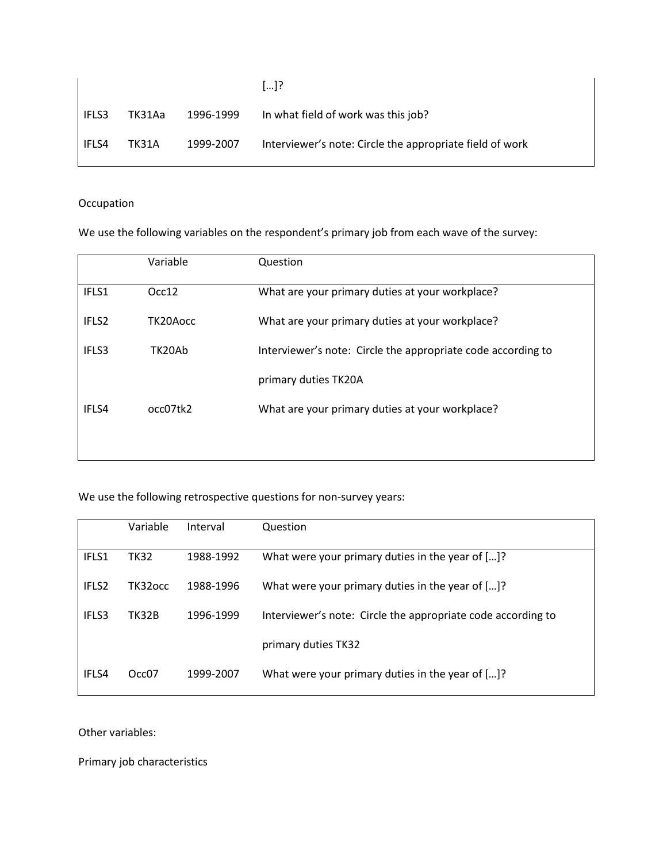|       |              |           | $\left[  \right]$                                        |
|-------|--------------|-----------|----------------------------------------------------------|
| IFLS3 | TK31Aa       | 1996-1999 | In what field of work was this job?                      |
| IFLS4 | <b>TK31A</b> | 1999-2007 | Interviewer's note: Circle the appropriate field of work |

## Occupation

We use the following variables on the respondent's primary job from each wave of the survey:

|                   | Variable | Question                                                     |
|-------------------|----------|--------------------------------------------------------------|
| IFLS1             | Occ12    | What are your primary duties at your workplace?              |
| IFLS <sub>2</sub> | TK20Aocc | What are your primary duties at your workplace?              |
| IFLS3             | TK20Ab   | Interviewer's note: Circle the appropriate code according to |
|                   |          | primary duties TK20A                                         |
| IFLS4             | occ07tk2 | What are your primary duties at your workplace?              |
|                   |          |                                                              |

We use the following retrospective questions for non-survey years:

|                   | Variable          | Interval  | Question                                                     |
|-------------------|-------------------|-----------|--------------------------------------------------------------|
| IFLS1             | <b>TK32</b>       | 1988-1992 | What were your primary duties in the year of $[]$ ?          |
| IFLS <sub>2</sub> | TK32occ           | 1988-1996 | What were your primary duties in the year of $[]$ ?          |
| IFLS3             | TK32B             | 1996-1999 | Interviewer's note: Circle the appropriate code according to |
|                   |                   |           | primary duties TK32                                          |
| IFLS4             | Occ <sub>07</sub> | 1999-2007 | What were your primary duties in the year of $[]$ ?          |

Other variables:

Primary job characteristics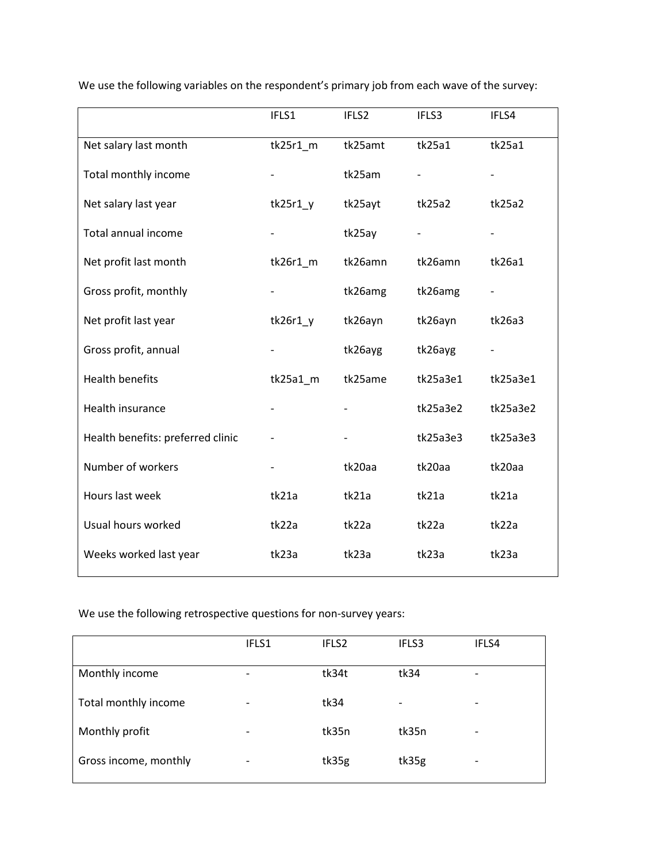|                                   | IFLS1                    | IFLS2   | IFLS3    | IFLS4    |
|-----------------------------------|--------------------------|---------|----------|----------|
| Net salary last month             | tk25r1_m                 | tk25amt | tk25a1   | tk25a1   |
| Total monthly income              | $\overline{\phantom{a}}$ | tk25am  |          |          |
| Net salary last year              | $tk25r1_y$               | tk25ayt | tk25a2   | tk25a2   |
| Total annual income               | $\overline{\phantom{a}}$ | tk25ay  |          |          |
| Net profit last month             | tk26r1_m                 | tk26amn | tk26amn  | tk26a1   |
| Gross profit, monthly             |                          | tk26amg | tk26amg  |          |
| Net profit last year              | tk26r1_y                 | tk26ayn | tk26ayn  | tk26a3   |
| Gross profit, annual              | $\overline{\phantom{a}}$ | tk26ayg | tk26ayg  |          |
| <b>Health benefits</b>            | tk25a1_m                 | tk25ame | tk25a3e1 | tk25a3e1 |
| Health insurance                  | $\overline{\phantom{a}}$ |         | tk25a3e2 | tk25a3e2 |
| Health benefits: preferred clinic |                          |         | tk25a3e3 | tk25a3e3 |
| Number of workers                 |                          | tk20aa  | tk20aa   | tk20aa   |
| Hours last week                   | tk21a                    | tk21a   | tk21a    | tk21a    |
| Usual hours worked                | tk22a                    | tk22a   | tk22a    | tk22a    |
| Weeks worked last year            | tk23a                    | tk23a   | tk23a    | tk23a    |

We use the following variables on the respondent's primary job from each wave of the survey:

We use the following retrospective questions for non-survey years:

|                       | IFLS1                    | IFLS <sub>2</sub> | IFLS3                    | IFLS4                    |
|-----------------------|--------------------------|-------------------|--------------------------|--------------------------|
| Monthly income        | $\overline{\phantom{0}}$ | tk34t             | tk34                     | $\overline{\phantom{0}}$ |
| Total monthly income  | $\overline{\phantom{0}}$ | tk34              | $\overline{\phantom{a}}$ |                          |
| Monthly profit        |                          | tk35n             | tk35n                    |                          |
| Gross income, monthly |                          | tk35g             | tk35g                    | $\overline{\phantom{0}}$ |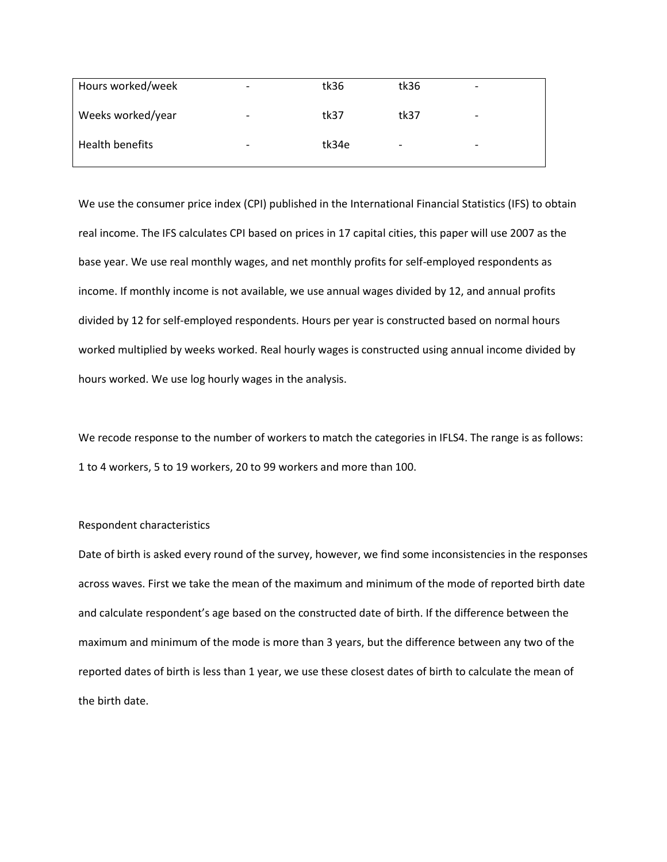| Hours worked/week | ۰ | tk36  | tk36                     | $\overline{\phantom{0}}$ |
|-------------------|---|-------|--------------------------|--------------------------|
| Weeks worked/year | ۰ | tk37  | tk37                     | $\overline{\phantom{0}}$ |
| Health benefits   | ۰ | tk34e | $\overline{\phantom{a}}$ |                          |

We use the consumer price index (CPI) published in the International Financial Statistics (IFS) to obtain real income. The IFS calculates CPI based on prices in 17 capital cities, this paper will use 2007 as the base year. We use real monthly wages, and net monthly profits for self-employed respondents as income. If monthly income is not available, we use annual wages divided by 12, and annual profits divided by 12 for self-employed respondents. Hours per year is constructed based on normal hours worked multiplied by weeks worked. Real hourly wages is constructed using annual income divided by hours worked. We use log hourly wages in the analysis.

We recode response to the number of workers to match the categories in IFLS4. The range is as follows: 1 to 4 workers, 5 to 19 workers, 20 to 99 workers and more than 100.

#### Respondent characteristics

Date of birth is asked every round of the survey, however, we find some inconsistencies in the responses across waves. First we take the mean of the maximum and minimum of the mode of reported birth date and calculate respondent's age based on the constructed date of birth. If the difference between the maximum and minimum of the mode is more than 3 years, but the difference between any two of the reported dates of birth is less than 1 year, we use these closest dates of birth to calculate the mean of the birth date.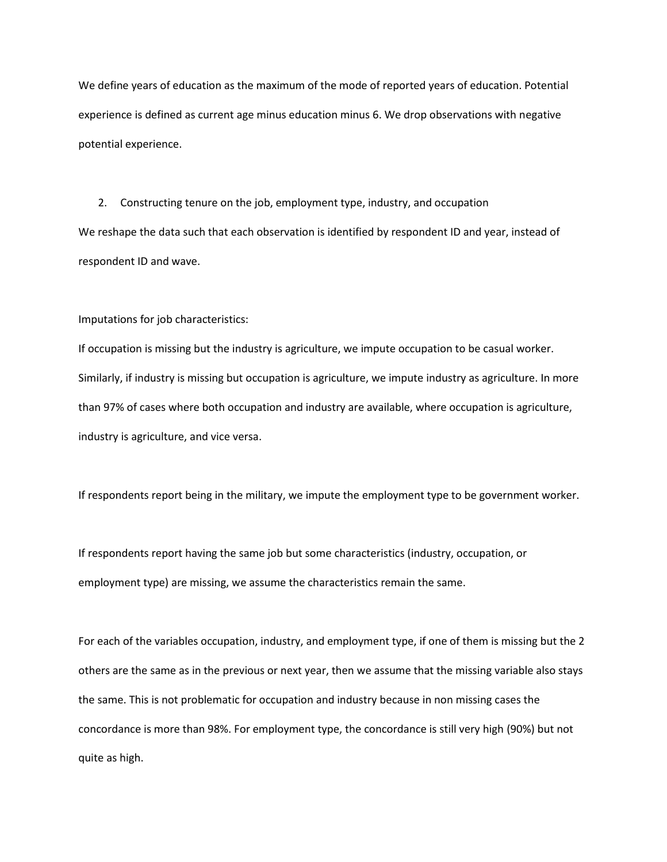We define years of education as the maximum of the mode of reported years of education. Potential experience is defined as current age minus education minus 6. We drop observations with negative potential experience.

2. Constructing tenure on the job, employment type, industry, and occupation We reshape the data such that each observation is identified by respondent ID and year, instead of respondent ID and wave.

Imputations for job characteristics:

If occupation is missing but the industry is agriculture, we impute occupation to be casual worker. Similarly, if industry is missing but occupation is agriculture, we impute industry as agriculture. In more than 97% of cases where both occupation and industry are available, where occupation is agriculture, industry is agriculture, and vice versa.

If respondents report being in the military, we impute the employment type to be government worker.

If respondents report having the same job but some characteristics (industry, occupation, or employment type) are missing, we assume the characteristics remain the same.

For each of the variables occupation, industry, and employment type, if one of them is missing but the 2 others are the same as in the previous or next year, then we assume that the missing variable also stays the same. This is not problematic for occupation and industry because in non missing cases the concordance is more than 98%. For employment type, the concordance is still very high (90%) but not quite as high.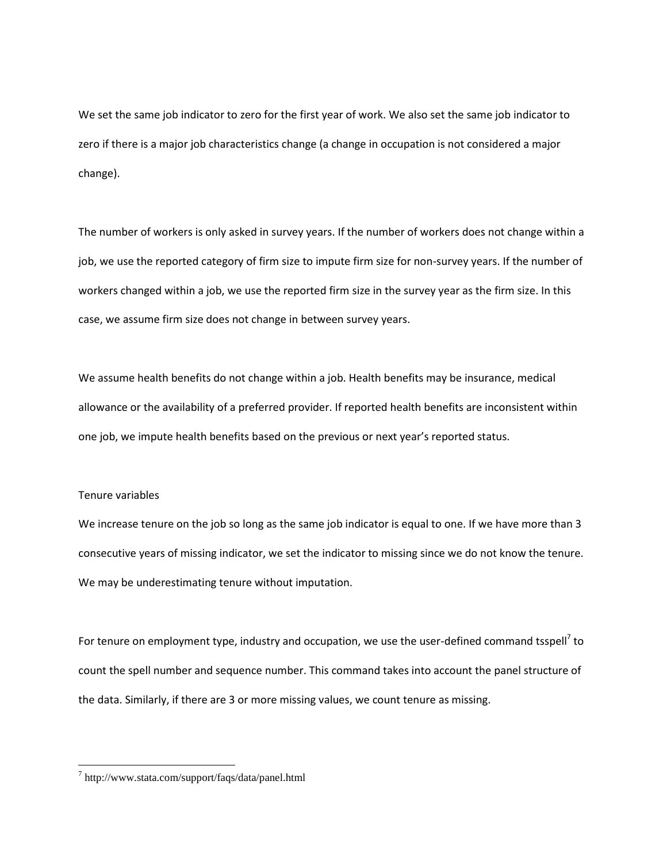We set the same job indicator to zero for the first year of work. We also set the same job indicator to zero if there is a major job characteristics change (a change in occupation is not considered a major change).

The number of workers is only asked in survey years. If the number of workers does not change within a job, we use the reported category of firm size to impute firm size for non-survey years. If the number of workers changed within a job, we use the reported firm size in the survey year as the firm size. In this case, we assume firm size does not change in between survey years.

We assume health benefits do not change within a job. Health benefits may be insurance, medical allowance or the availability of a preferred provider. If reported health benefits are inconsistent within one job, we impute health benefits based on the previous or next year's reported status.

#### Tenure variables

 $\overline{\phantom{a}}$ 

We increase tenure on the job so long as the same job indicator is equal to one. If we have more than 3 consecutive years of missing indicator, we set the indicator to missing since we do not know the tenure. We may be underestimating tenure without imputation.

For tenure on employment type, industry and occupation, we use the user-defined command tsspell<sup>7</sup> to count the spell number and sequence number. This command takes into account the panel structure of the data. Similarly, if there are 3 or more missing values, we count tenure as missing.

<sup>7</sup> http://www.stata.com/support/faqs/data/panel.html